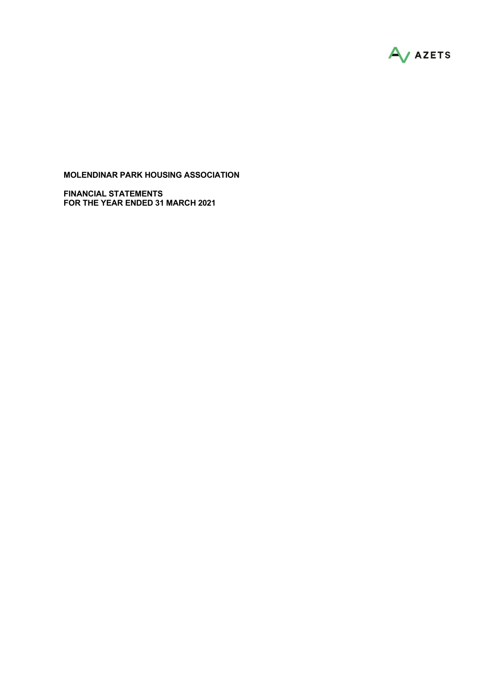

FINANCIAL STATEMENTS FOR THE YEAR ENDED 31 MARCH 2021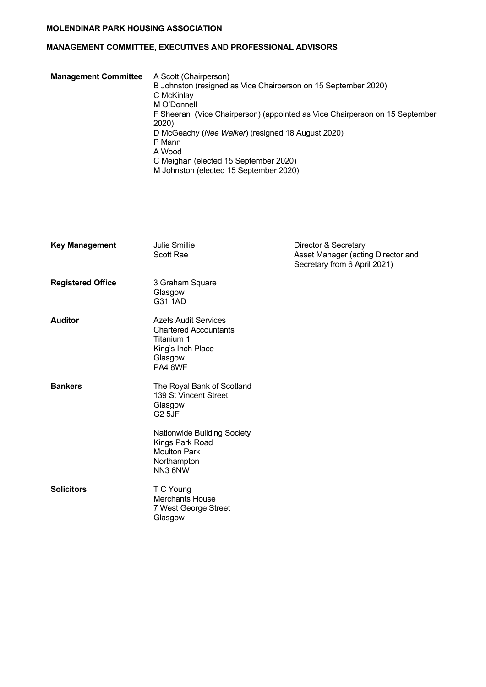# MANAGEMENT COMMITTEE, EXECUTIVES AND PROFESSIONAL ADVISORS

| <b>Management Committee</b> | A Scott (Chairperson)<br>B Johnston (resigned as Vice Chairperson on 15 September 2020)<br>C McKinlay<br>M O'Donnell<br>F Sheeran (Vice Chairperson) (appointed as Vice Chairperson on 15 September<br>2020)<br>D McGeachy (Nee Walker) (resigned 18 August 2020)<br>P Mann<br>A Wood<br>C Meighan (elected 15 September 2020) |
|-----------------------------|--------------------------------------------------------------------------------------------------------------------------------------------------------------------------------------------------------------------------------------------------------------------------------------------------------------------------------|
|                             | M Johnston (elected 15 September 2020)                                                                                                                                                                                                                                                                                         |

| <b>Key Management</b>    | <b>Julie Smillie</b><br>Scott Rae                                                                                    | Director & Secretary<br>Asset Manager (acting Director and<br>Secretary from 6 April 2021) |
|--------------------------|----------------------------------------------------------------------------------------------------------------------|--------------------------------------------------------------------------------------------|
| <b>Registered Office</b> | 3 Graham Square<br>Glasgow<br>G31 1AD                                                                                |                                                                                            |
| <b>Auditor</b>           | <b>Azets Audit Services</b><br><b>Chartered Accountants</b><br>Titanium 1<br>King's Inch Place<br>Glasgow<br>PA4 8WF |                                                                                            |
| <b>Bankers</b>           | The Royal Bank of Scotland<br>139 St Vincent Street<br>Glasgow<br><b>G2 5JF</b>                                      |                                                                                            |
|                          | Nationwide Building Society<br>Kings Park Road<br><b>Moulton Park</b><br>Northampton<br>NN3 6NW                      |                                                                                            |
| <b>Solicitors</b>        | T C Young<br><b>Merchants House</b><br>7 West George Street<br>Glasgow                                               |                                                                                            |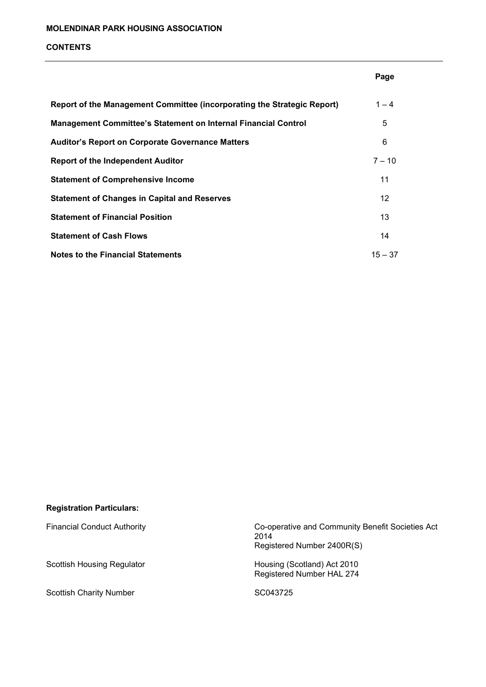#### CONTENTS

|                                                                         | Page      |
|-------------------------------------------------------------------------|-----------|
| Report of the Management Committee (incorporating the Strategic Report) | $1 - 4$   |
| <b>Management Committee's Statement on Internal Financial Control</b>   | 5         |
| <b>Auditor's Report on Corporate Governance Matters</b>                 | 6         |
| <b>Report of the Independent Auditor</b>                                | $7 - 10$  |
| <b>Statement of Comprehensive Income</b>                                | 11        |
| <b>Statement of Changes in Capital and Reserves</b>                     | 12        |
| <b>Statement of Financial Position</b>                                  | 13        |
| <b>Statement of Cash Flows</b>                                          | 14        |
| Notes to the Financial Statements                                       | $15 - 37$ |

# Registration Particulars:

Scottish Charity Number SC043725

Financial Conduct Authority Co-operative and Community Benefit Societies Act <u>2014</u> and the set of the set of the set of the set of the set of the set of the set of the set of the set of the set of the set of the set of the set of the set of the set of the set of the set of the set of the set of th Registered Number 2400R(S)

Scottish Housing Regulator **Housing (Scotland)** Act 2010 Registered Number HAL 274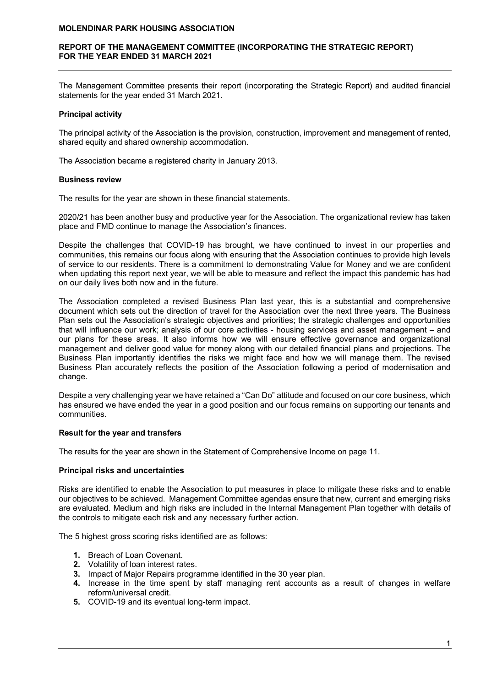## REPORT OF THE MANAGEMENT COMMITTEE (INCORPORATING THE STRATEGIC REPORT) FOR THE YEAR ENDED 31 MARCH 2021

The Management Committee presents their report (incorporating the Strategic Report) and audited financial statements for the year ended 31 March 2021.

#### Principal activity

The principal activity of the Association is the provision, construction, improvement and management of rented, shared equity and shared ownership accommodation.

The Association became a registered charity in January 2013.

#### Business review

The results for the year are shown in these financial statements.

2020/21 has been another busy and productive year for the Association. The organizational review has taken place and FMD continue to manage the Association's finances.

Despite the challenges that COVID-19 has brought, we have continued to invest in our properties and communities, this remains our focus along with ensuring that the Association continues to provide high levels of service to our residents. There is a commitment to demonstrating Value for Money and we are confident when updating this report next year, we will be able to measure and reflect the impact this pandemic has had on our daily lives both now and in the future.

The Association completed a revised Business Plan last year, this is a substantial and comprehensive document which sets out the direction of travel for the Association over the next three years. The Business Plan sets out the Association's strategic objectives and priorities; the strategic challenges and opportunities that will influence our work; analysis of our core activities - housing services and asset management – and our plans for these areas. It also informs how we will ensure effective governance and organizational management and deliver good value for money along with our detailed financial plans and projections. The Business Plan importantly identifies the risks we might face and how we will manage them. The revised Business Plan accurately reflects the position of the Association following a period of modernisation and change.

Despite a very challenging year we have retained a "Can Do" attitude and focused on our core business, which has ensured we have ended the year in a good position and our focus remains on supporting our tenants and communities.

#### Result for the year and transfers

The results for the year are shown in the Statement of Comprehensive Income on page 11.

#### Principal risks and uncertainties

Risks are identified to enable the Association to put measures in place to mitigate these risks and to enable our objectives to be achieved. Management Committee agendas ensure that new, current and emerging risks are evaluated. Medium and high risks are included in the Internal Management Plan together with details of the controls to mitigate each risk and any necessary further action.

The 5 highest gross scoring risks identified are as follows:

- 1. Breach of Loan Covenant.
- 2. Volatility of loan interest rates.
- 3. Impact of Major Repairs programme identified in the 30 year plan.
- 4. Increase in the time spent by staff managing rent accounts as a result of changes in welfare reform/universal credit.
- 5. COVID-19 and its eventual long-term impact.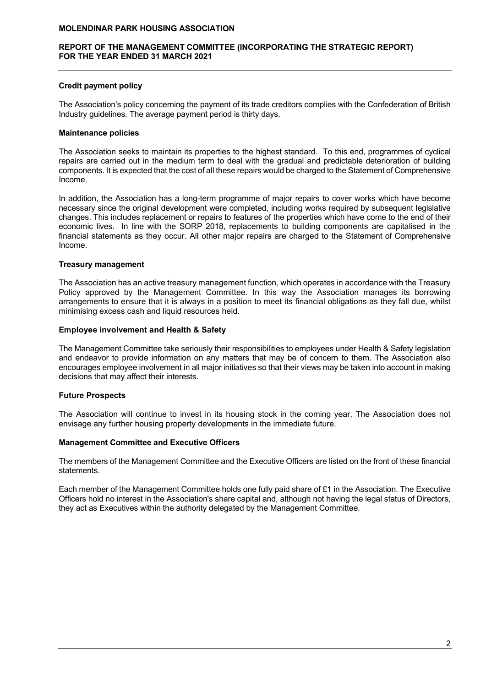#### REPORT OF THE MANAGEMENT COMMITTEE (INCORPORATING THE STRATEGIC REPORT) FOR THE YEAR ENDED 31 MARCH 2021

## Credit payment policy

The Association's policy concerning the payment of its trade creditors complies with the Confederation of British Industry guidelines. The average payment period is thirty days.

## Maintenance policies

The Association seeks to maintain its properties to the highest standard. To this end, programmes of cyclical repairs are carried out in the medium term to deal with the gradual and predictable deterioration of building components. It is expected that the cost of all these repairs would be charged to the Statement of Comprehensive Income.

In addition, the Association has a long-term programme of major repairs to cover works which have become necessary since the original development were completed, including works required by subsequent legislative changes. This includes replacement or repairs to features of the properties which have come to the end of their economic lives. In line with the SORP 2018, replacements to building components are capitalised in the financial statements as they occur. All other major repairs are charged to the Statement of Comprehensive Income.

## Treasury management

The Association has an active treasury management function, which operates in accordance with the Treasury Policy approved by the Management Committee. In this way the Association manages its borrowing arrangements to ensure that it is always in a position to meet its financial obligations as they fall due, whilst minimising excess cash and liquid resources held.

## Employee involvement and Health & Safety

The Management Committee take seriously their responsibilities to employees under Health & Safety legislation and endeavor to provide information on any matters that may be of concern to them. The Association also encourages employee involvement in all major initiatives so that their views may be taken into account in making decisions that may affect their interests.

# Future Prospects

The Association will continue to invest in its housing stock in the coming year. The Association does not envisage any further housing property developments in the immediate future.

#### Management Committee and Executive Officers

The members of the Management Committee and the Executive Officers are listed on the front of these financial statements.

Each member of the Management Committee holds one fully paid share of £1 in the Association. The Executive Officers hold no interest in the Association's share capital and, although not having the legal status of Directors, they act as Executives within the authority delegated by the Management Committee.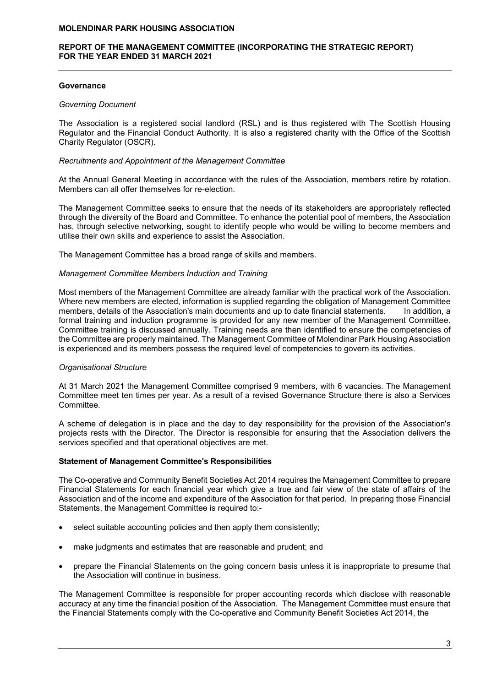## REPORT OF THE MANAGEMENT COMMITTEE (INCORPORATING THE STRATEGIC REPORT) FOR THE YEAR ENDED 31 MARCH 2021

## **Governance**

## Governing Document

The Association is a registered social landlord (RSL) and is thus registered with The Scottish Housing Regulator and the Financial Conduct Authority. It is also a registered charity with the Office of the Scottish Charity Regulator (OSCR).

## Recruitments and Appointment of the Management Committee

At the Annual General Meeting in accordance with the rules of the Association, members retire by rotation. Members can all offer themselves for re-election.

The Management Committee seeks to ensure that the needs of its stakeholders are appropriately reflected through the diversity of the Board and Committee. To enhance the potential pool of members, the Association has, through selective networking, sought to identify people who would be willing to become members and utilise their own skills and experience to assist the Association.

The Management Committee has a broad range of skills and members.

## Management Committee Members Induction and Training

Most members of the Management Committee are already familiar with the practical work of the Association. Where new members are elected, information is supplied regarding the obligation of Management Committee members, details of the Association's main documents and up to date financial statements. In addition, a formal training and induction programme is provided for any new member of the Management Committee. Committee training is discussed annually. Training needs are then identified to ensure the competencies of the Committee are properly maintained. The Management Committee of Molendinar Park Housing Association is experienced and its members possess the required level of competencies to govern its activities.

# Organisational Structure

At 31 March 2021 the Management Committee comprised 9 members, with 6 vacancies. The Management Committee meet ten times per year. As a result of a revised Governance Structure there is also a Services Committee.

A scheme of delegation is in place and the day to day responsibility for the provision of the Association's projects rests with the Director. The Director is responsible for ensuring that the Association delivers the services specified and that operational objectives are met.

#### Statement of Management Committee's Responsibilities

The Co-operative and Community Benefit Societies Act 2014 requires the Management Committee to prepare Financial Statements for each financial year which give a true and fair view of the state of affairs of the Association and of the income and expenditure of the Association for that period. In preparing those Financial Statements, the Management Committee is required to:-

- select suitable accounting policies and then apply them consistently;
- make judgments and estimates that are reasonable and prudent; and
- prepare the Financial Statements on the going concern basis unless it is inappropriate to presume that the Association will continue in business.

The Management Committee is responsible for proper accounting records which disclose with reasonable accuracy at any time the financial position of the Association. The Management Committee must ensure that the Financial Statements comply with the Co-operative and Community Benefit Societies Act 2014, the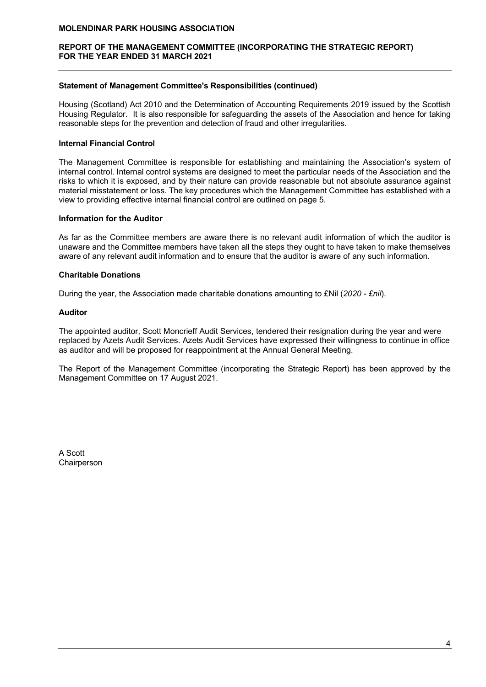## REPORT OF THE MANAGEMENT COMMITTEE (INCORPORATING THE STRATEGIC REPORT) FOR THE YEAR ENDED 31 MARCH 2021

## Statement of Management Committee's Responsibilities (continued)

Housing (Scotland) Act 2010 and the Determination of Accounting Requirements 2019 issued by the Scottish Housing Regulator. It is also responsible for safeguarding the assets of the Association and hence for taking reasonable steps for the prevention and detection of fraud and other irregularities.

## Internal Financial Control

The Management Committee is responsible for establishing and maintaining the Association's system of internal control. Internal control systems are designed to meet the particular needs of the Association and the risks to which it is exposed, and by their nature can provide reasonable but not absolute assurance against material misstatement or loss. The key procedures which the Management Committee has established with a view to providing effective internal financial control are outlined on page 5.

#### Information for the Auditor

As far as the Committee members are aware there is no relevant audit information of which the auditor is unaware and the Committee members have taken all the steps they ought to have taken to make themselves aware of any relevant audit information and to ensure that the auditor is aware of any such information.

## Charitable Donations

During the year, the Association made charitable donations amounting to £Nil (2020 - £nil).

#### Auditor

The appointed auditor, Scott Moncrieff Audit Services, tendered their resignation during the year and were replaced by Azets Audit Services. Azets Audit Services have expressed their willingness to continue in office as auditor and will be proposed for reappointment at the Annual General Meeting.

The Report of the Management Committee (incorporating the Strategic Report) has been approved by the Management Committee on 17 August 2021.

A Scott **Chairperson**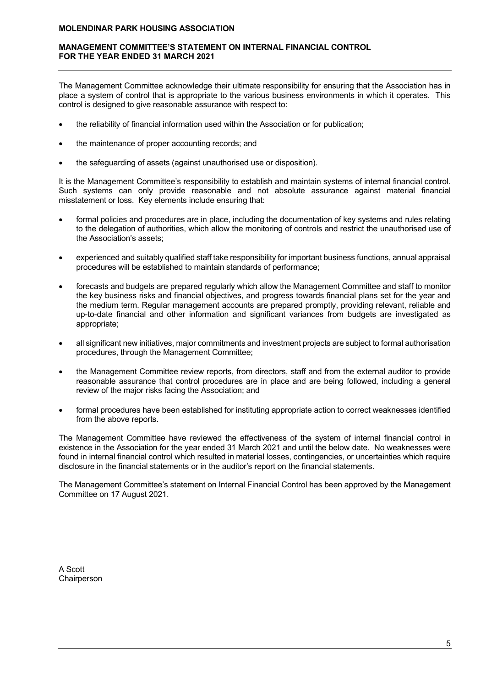## MANAGEMENT COMMITTEE'S STATEMENT ON INTERNAL FINANCIAL CONTROL FOR THE YEAR ENDED 31 MARCH 2021

The Management Committee acknowledge their ultimate responsibility for ensuring that the Association has in place a system of control that is appropriate to the various business environments in which it operates. This control is designed to give reasonable assurance with respect to:

- the reliability of financial information used within the Association or for publication;
- the maintenance of proper accounting records; and
- the safeguarding of assets (against unauthorised use or disposition).

It is the Management Committee's responsibility to establish and maintain systems of internal financial control. Such systems can only provide reasonable and not absolute assurance against material financial misstatement or loss. Key elements include ensuring that:

- formal policies and procedures are in place, including the documentation of key systems and rules relating to the delegation of authorities, which allow the monitoring of controls and restrict the unauthorised use of the Association's assets;
- experienced and suitably qualified staff take responsibility for important business functions, annual appraisal procedures will be established to maintain standards of performance;
- forecasts and budgets are prepared regularly which allow the Management Committee and staff to monitor the key business risks and financial objectives, and progress towards financial plans set for the year and the medium term. Regular management accounts are prepared promptly, providing relevant, reliable and up-to-date financial and other information and significant variances from budgets are investigated as appropriate;
- all significant new initiatives, major commitments and investment projects are subject to formal authorisation procedures, through the Management Committee;
- the Management Committee review reports, from directors, staff and from the external auditor to provide reasonable assurance that control procedures are in place and are being followed, including a general review of the major risks facing the Association; and
- formal procedures have been established for instituting appropriate action to correct weaknesses identified from the above reports.

The Management Committee have reviewed the effectiveness of the system of internal financial control in existence in the Association for the year ended 31 March 2021 and until the below date. No weaknesses were found in internal financial control which resulted in material losses, contingencies, or uncertainties which require disclosure in the financial statements or in the auditor's report on the financial statements.

The Management Committee's statement on Internal Financial Control has been approved by the Management Committee on 17 August 2021.

A Scott **Chairperson**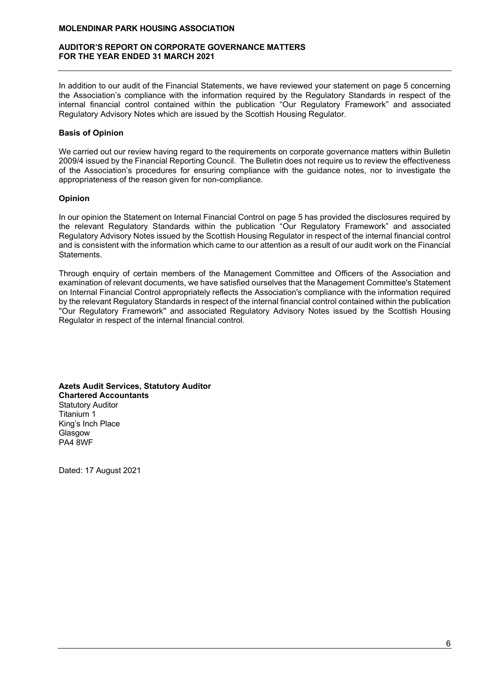#### AUDITOR'S REPORT ON CORPORATE GOVERNANCE MATTERS FOR THE YEAR ENDED 31 MARCH 2021

In addition to our audit of the Financial Statements, we have reviewed your statement on page 5 concerning the Association's compliance with the information required by the Regulatory Standards in respect of the internal financial control contained within the publication "Our Regulatory Framework" and associated Regulatory Advisory Notes which are issued by the Scottish Housing Regulator.

## Basis of Opinion

We carried out our review having regard to the requirements on corporate governance matters within Bulletin 2009/4 issued by the Financial Reporting Council. The Bulletin does not require us to review the effectiveness of the Association's procedures for ensuring compliance with the guidance notes, nor to investigate the appropriateness of the reason given for non-compliance.

## Opinion

In our opinion the Statement on Internal Financial Control on page 5 has provided the disclosures required by the relevant Regulatory Standards within the publication "Our Regulatory Framework" and associated Regulatory Advisory Notes issued by the Scottish Housing Regulator in respect of the internal financial control and is consistent with the information which came to our attention as a result of our audit work on the Financial Statements.

Through enquiry of certain members of the Management Committee and Officers of the Association and examination of relevant documents, we have satisfied ourselves that the Management Committee's Statement on Internal Financial Control appropriately reflects the Association's compliance with the information required by the relevant Regulatory Standards in respect of the internal financial control contained within the publication ''Our Regulatory Framework'' and associated Regulatory Advisory Notes issued by the Scottish Housing Regulator in respect of the internal financial control.

Azets Audit Services, Statutory Auditor Chartered Accountants Statutory Auditor Titanium 1 King's Inch Place Glasgow PA4 8WF

Dated: 17 August 2021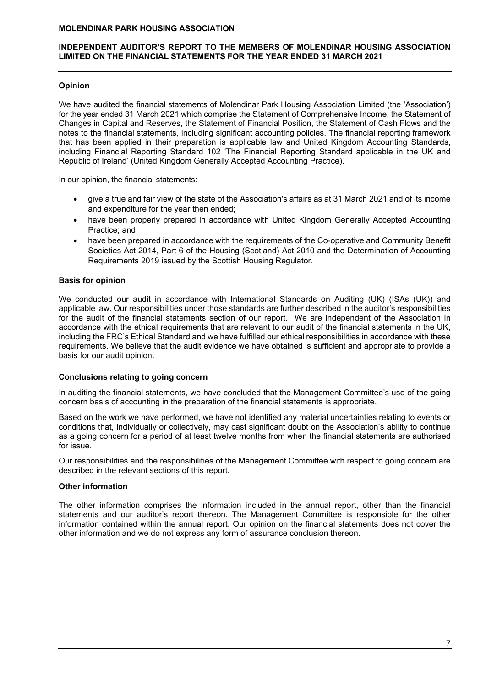## INDEPENDENT AUDITOR'S REPORT TO THE MEMBERS OF MOLENDINAR HOUSING ASSOCIATION LIMITED ON THE FINANCIAL STATEMENTS FOR THE YEAR ENDED 31 MARCH 2021

## Opinion

We have audited the financial statements of Molendinar Park Housing Association Limited (the 'Association') for the year ended 31 March 2021 which comprise the Statement of Comprehensive Income, the Statement of Changes in Capital and Reserves, the Statement of Financial Position, the Statement of Cash Flows and the notes to the financial statements, including significant accounting policies. The financial reporting framework that has been applied in their preparation is applicable law and United Kingdom Accounting Standards, including Financial Reporting Standard 102 'The Financial Reporting Standard applicable in the UK and Republic of Ireland' (United Kingdom Generally Accepted Accounting Practice).

In our opinion, the financial statements:

- give a true and fair view of the state of the Association's affairs as at 31 March 2021 and of its income and expenditure for the year then ended;
- have been properly prepared in accordance with United Kingdom Generally Accepted Accounting Practice; and
- have been prepared in accordance with the requirements of the Co-operative and Community Benefit Societies Act 2014, Part 6 of the Housing (Scotland) Act 2010 and the Determination of Accounting Requirements 2019 issued by the Scottish Housing Regulator.

## Basis for opinion

We conducted our audit in accordance with International Standards on Auditing (UK) (ISAs (UK)) and applicable law. Our responsibilities under those standards are further described in the auditor's responsibilities for the audit of the financial statements section of our report. We are independent of the Association in accordance with the ethical requirements that are relevant to our audit of the financial statements in the UK, including the FRC's Ethical Standard and we have fulfilled our ethical responsibilities in accordance with these requirements. We believe that the audit evidence we have obtained is sufficient and appropriate to provide a basis for our audit opinion.

## Conclusions relating to going concern

In auditing the financial statements, we have concluded that the Management Committee's use of the going concern basis of accounting in the preparation of the financial statements is appropriate.

Based on the work we have performed, we have not identified any material uncertainties relating to events or conditions that, individually or collectively, may cast significant doubt on the Association's ability to continue as a going concern for a period of at least twelve months from when the financial statements are authorised for issue.

Our responsibilities and the responsibilities of the Management Committee with respect to going concern are described in the relevant sections of this report.

## Other information

The other information comprises the information included in the annual report, other than the financial statements and our auditor's report thereon. The Management Committee is responsible for the other information contained within the annual report. Our opinion on the financial statements does not cover the other information and we do not express any form of assurance conclusion thereon.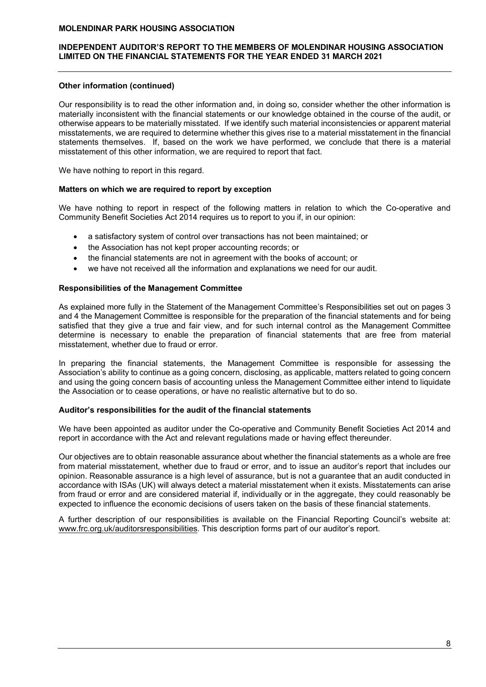## INDEPENDENT AUDITOR'S REPORT TO THE MEMBERS OF MOLENDINAR HOUSING ASSOCIATION LIMITED ON THE FINANCIAL STATEMENTS FOR THE YEAR ENDED 31 MARCH 2021

## Other information (continued)

Our responsibility is to read the other information and, in doing so, consider whether the other information is materially inconsistent with the financial statements or our knowledge obtained in the course of the audit, or otherwise appears to be materially misstated. If we identify such material inconsistencies or apparent material misstatements, we are required to determine whether this gives rise to a material misstatement in the financial statements themselves. If, based on the work we have performed, we conclude that there is a material misstatement of this other information, we are required to report that fact.

We have nothing to report in this regard.

#### Matters on which we are required to report by exception

We have nothing to report in respect of the following matters in relation to which the Co-operative and Community Benefit Societies Act 2014 requires us to report to you if, in our opinion:

- a satisfactory system of control over transactions has not been maintained; or
- the Association has not kept proper accounting records; or
- the financial statements are not in agreement with the books of account; or
- we have not received all the information and explanations we need for our audit.

#### Responsibilities of the Management Committee

As explained more fully in the Statement of the Management Committee's Responsibilities set out on pages 3 and 4 the Management Committee is responsible for the preparation of the financial statements and for being satisfied that they give a true and fair view, and for such internal control as the Management Committee determine is necessary to enable the preparation of financial statements that are free from material misstatement, whether due to fraud or error.

In preparing the financial statements, the Management Committee is responsible for assessing the Association's ability to continue as a going concern, disclosing, as applicable, matters related to going concern and using the going concern basis of accounting unless the Management Committee either intend to liquidate the Association or to cease operations, or have no realistic alternative but to do so.

#### Auditor's responsibilities for the audit of the financial statements

We have been appointed as auditor under the Co-operative and Community Benefit Societies Act 2014 and report in accordance with the Act and relevant regulations made or having effect thereunder.

Our objectives are to obtain reasonable assurance about whether the financial statements as a whole are free from material misstatement, whether due to fraud or error, and to issue an auditor's report that includes our opinion. Reasonable assurance is a high level of assurance, but is not a guarantee that an audit conducted in accordance with ISAs (UK) will always detect a material misstatement when it exists. Misstatements can arise from fraud or error and are considered material if, individually or in the aggregate, they could reasonably be expected to influence the economic decisions of users taken on the basis of these financial statements.

A further description of our responsibilities is available on the Financial Reporting Council's website at: www.frc.org.uk/auditorsresponsibilities. This description forms part of our auditor's report.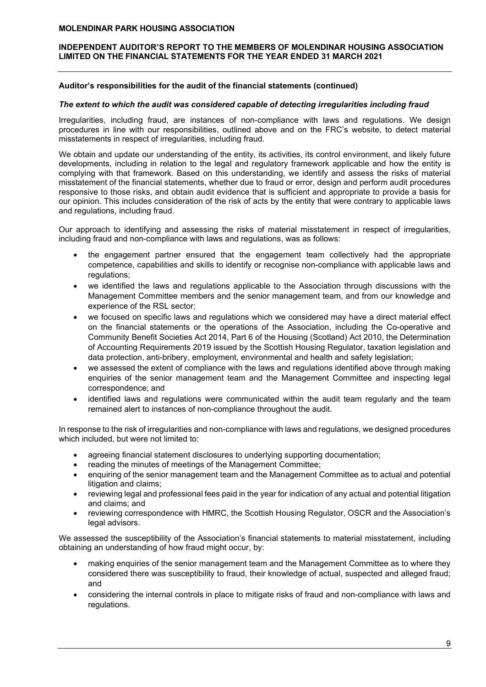## INDEPENDENT AUDITOR'S REPORT TO THE MEMBERS OF MOLENDINAR HOUSING ASSOCIATION LIMITED ON THE FINANCIAL STATEMENTS FOR THE YEAR ENDED 31 MARCH 2021

## Auditor's responsibilities for the audit of the financial statements (continued)

#### The extent to which the audit was considered capable of detecting irregularities including fraud

Irregularities, including fraud, are instances of non-compliance with laws and regulations. We design procedures in line with our responsibilities, outlined above and on the FRC's website, to detect material misstatements in respect of irregularities, including fraud.

We obtain and update our understanding of the entity, its activities, its control environment, and likely future developments, including in relation to the legal and regulatory framework applicable and how the entity is complying with that framework. Based on this understanding, we identify and assess the risks of material misstatement of the financial statements, whether due to fraud or error, design and perform audit procedures responsive to those risks, and obtain audit evidence that is sufficient and appropriate to provide a basis for our opinion. This includes consideration of the risk of acts by the entity that were contrary to applicable laws and regulations, including fraud.

Our approach to identifying and assessing the risks of material misstatement in respect of irregularities, including fraud and non-compliance with laws and regulations, was as follows:

- the engagement partner ensured that the engagement team collectively had the appropriate competence, capabilities and skills to identify or recognise non-compliance with applicable laws and regulations:
- we identified the laws and regulations applicable to the Association through discussions with the Management Committee members and the senior management team, and from our knowledge and experience of the RSL sector;
- we focused on specific laws and regulations which we considered may have a direct material effect on the financial statements or the operations of the Association, including the Co-operative and Community Benefit Societies Act 2014, Part 6 of the Housing (Scotland) Act 2010, the Determination of Accounting Requirements 2019 issued by the Scottish Housing Regulator, taxation legislation and data protection, anti-bribery, employment, environmental and health and safety legislation;
- we assessed the extent of compliance with the laws and regulations identified above through making enquiries of the senior management team and the Management Committee and inspecting legal correspondence; and
- identified laws and regulations were communicated within the audit team regularly and the team remained alert to instances of non-compliance throughout the audit.

In response to the risk of irregularities and non-compliance with laws and regulations, we designed procedures which included, but were not limited to:

- agreeing financial statement disclosures to underlying supporting documentation;
- reading the minutes of meetings of the Management Committee;
- enquiring of the senior management team and the Management Committee as to actual and potential litigation and claims;
- reviewing legal and professional fees paid in the year for indication of any actual and potential litigation and claims; and
- reviewing correspondence with HMRC, the Scottish Housing Regulator, OSCR and the Association's legal advisors.

We assessed the susceptibility of the Association's financial statements to material misstatement, including obtaining an understanding of how fraud might occur, by:

- making enquiries of the senior management team and the Management Committee as to where they considered there was susceptibility to fraud, their knowledge of actual, suspected and alleged fraud; and
- considering the internal controls in place to mitigate risks of fraud and non-compliance with laws and regulations.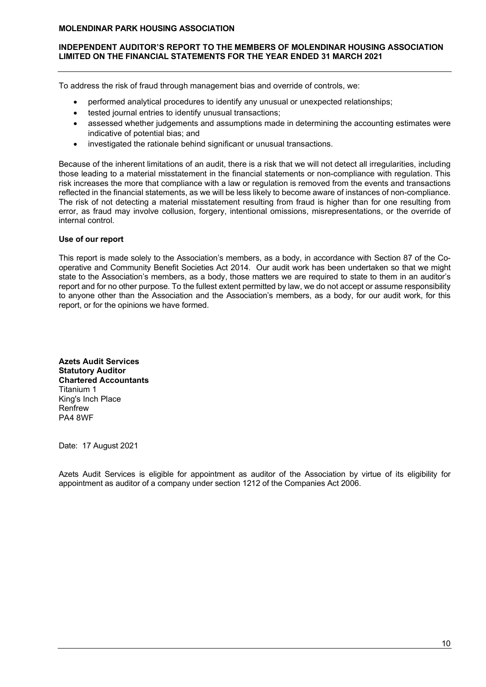## INDEPENDENT AUDITOR'S REPORT TO THE MEMBERS OF MOLENDINAR HOUSING ASSOCIATION LIMITED ON THE FINANCIAL STATEMENTS FOR THE YEAR ENDED 31 MARCH 2021

To address the risk of fraud through management bias and override of controls, we:

- performed analytical procedures to identify any unusual or unexpected relationships;
- tested journal entries to identify unusual transactions;
- assessed whether judgements and assumptions made in determining the accounting estimates were indicative of potential bias; and
- investigated the rationale behind significant or unusual transactions.

Because of the inherent limitations of an audit, there is a risk that we will not detect all irregularities, including those leading to a material misstatement in the financial statements or non-compliance with regulation. This risk increases the more that compliance with a law or regulation is removed from the events and transactions reflected in the financial statements, as we will be less likely to become aware of instances of non-compliance. The risk of not detecting a material misstatement resulting from fraud is higher than for one resulting from error, as fraud may involve collusion, forgery, intentional omissions, misrepresentations, or the override of internal control.

## Use of our report

This report is made solely to the Association's members, as a body, in accordance with Section 87 of the Cooperative and Community Benefit Societies Act 2014. Our audit work has been undertaken so that we might state to the Association's members, as a body, those matters we are required to state to them in an auditor's report and for no other purpose. To the fullest extent permitted by law, we do not accept or assume responsibility to anyone other than the Association and the Association's members, as a body, for our audit work, for this report, or for the opinions we have formed.

Azets Audit Services Statutory Auditor Chartered Accountants Titanium 1 King's Inch Place Renfrew PA4 8WF

Date: 17 August 2021

Azets Audit Services is eligible for appointment as auditor of the Association by virtue of its eligibility for appointment as auditor of a company under section 1212 of the Companies Act 2006.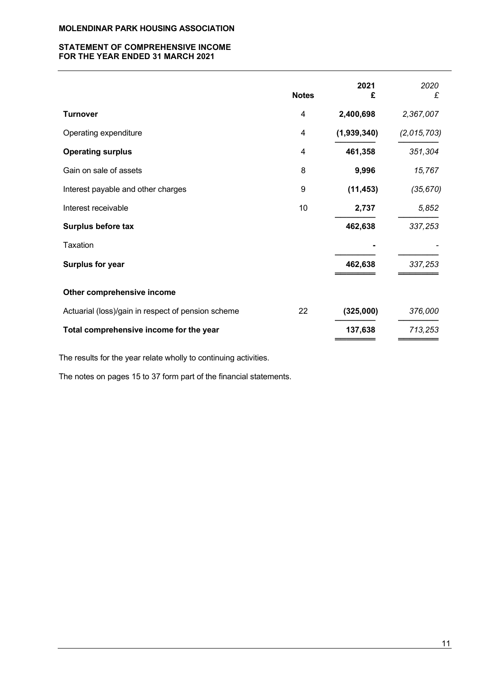## STATEMENT OF COMPREHENSIVE INCOME FOR THE YEAR ENDED 31 MARCH 2021

|                                                    | <b>Notes</b>   | 2021<br>£   | 2020<br>£   |
|----------------------------------------------------|----------------|-------------|-------------|
| <b>Turnover</b>                                    | 4              | 2,400,698   | 2,367,007   |
| Operating expenditure                              | 4              | (1,939,340) | (2,015,703) |
| <b>Operating surplus</b>                           | $\overline{4}$ | 461,358     | 351,304     |
| Gain on sale of assets                             | 8              | 9,996       | 15,767      |
| Interest payable and other charges                 | 9              | (11, 453)   | (35, 670)   |
| Interest receivable                                | 10             | 2,737       | 5,852       |
| Surplus before tax                                 |                | 462,638     | 337,253     |
| Taxation                                           |                |             |             |
| <b>Surplus for year</b>                            |                | 462,638     | 337,253     |
| Other comprehensive income                         |                |             |             |
| Actuarial (loss)/gain in respect of pension scheme | 22             | (325,000)   | 376,000     |
| Total comprehensive income for the year            |                | 137,638     | 713,253     |

The results for the year relate wholly to continuing activities.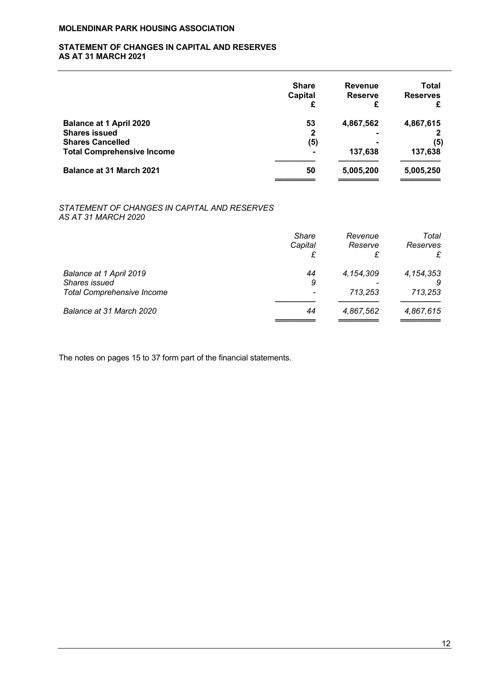## STATEMENT OF CHANGES IN CAPITAL AND RESERVES AS AT 31 MARCH 2021

| <b>Share</b><br>Capital | <b>Revenue</b><br><b>Reserve</b> | <b>Total</b><br><b>Reserves</b> |
|-------------------------|----------------------------------|---------------------------------|
| 53                      | 4,867,562                        | 4,867,615                       |
| 2                       |                                  |                                 |
|                         |                                  | (5)                             |
| $\blacksquare$          | 137.638                          | 137,638                         |
| 50                      | 5,005,200                        | 5,005,250                       |
|                         | (5)                              |                                 |

## STATEMENT OF CHANGES IN CAPITAL AND RESERVES AS AT 31 MARCH 2020

|                                                                               | <b>Share</b><br>Capital | Revenue<br>Reserve<br>£ | Total<br>Reserves<br>£ |
|-------------------------------------------------------------------------------|-------------------------|-------------------------|------------------------|
| Balance at 1 April 2019<br>Shares issued<br><b>Total Comprehensive Income</b> | 44<br>9                 | 4,154,309<br>713.253    | 4, 154, 353<br>713,253 |
| Balance at 31 March 2020                                                      | 44                      | 4,867,562               | 4,867,615              |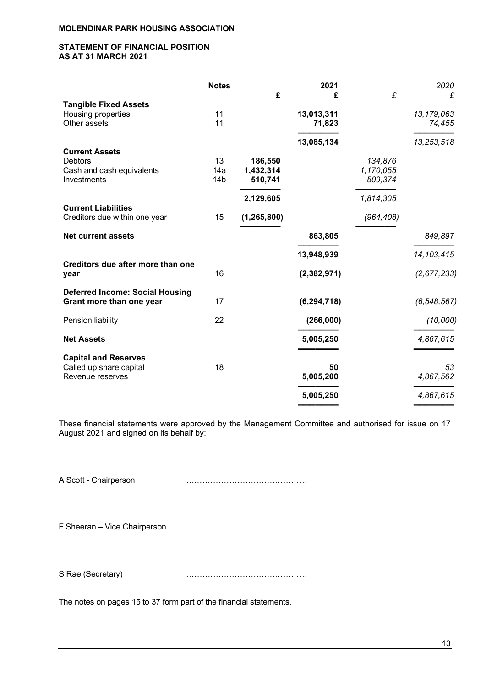## STATEMENT OF FINANCIAL POSITION AS AT 31 MARCH 2021

|                                                             | <b>Notes</b>    |               | 2021          |            | 2020          |
|-------------------------------------------------------------|-----------------|---------------|---------------|------------|---------------|
| <b>Tangible Fixed Assets</b>                                |                 | £             | £             | £          | £             |
| Housing properties                                          | 11              |               | 13,013,311    |            | 13,179,063    |
| Other assets                                                | 11              |               | 71,823        |            | 74,455        |
|                                                             |                 |               | 13,085,134    |            | 13,253,518    |
| <b>Current Assets</b>                                       |                 |               |               |            |               |
| <b>Debtors</b>                                              | 13              | 186,550       |               | 134,876    |               |
| Cash and cash equivalents                                   | 14a             | 1,432,314     |               | 1,170,055  |               |
| Investments                                                 | 14 <sub>b</sub> | 510,741       |               | 509,374    |               |
|                                                             |                 | 2,129,605     |               | 1,814,305  |               |
| <b>Current Liabilities</b><br>Creditors due within one year | 15              | (1, 265, 800) |               | (964, 408) |               |
|                                                             |                 |               |               |            |               |
| <b>Net current assets</b>                                   |                 |               | 863,805       |            | 849,897       |
|                                                             |                 |               | 13,948,939    |            | 14, 103, 415  |
| Creditors due after more than one                           |                 |               |               |            |               |
| year                                                        | 16              |               | (2, 382, 971) |            | (2,677,233)   |
| <b>Deferred Income: Social Housing</b>                      |                 |               |               |            |               |
| Grant more than one year                                    | 17              |               | (6, 294, 718) |            | (6, 548, 567) |
| Pension liability                                           | 22              |               | (266,000)     |            | (10,000)      |
|                                                             |                 |               |               |            |               |
| <b>Net Assets</b>                                           |                 |               | 5,005,250     |            | 4,867,615     |
| <b>Capital and Reserves</b>                                 |                 |               |               |            |               |
| Called up share capital                                     | 18              |               | 50            |            | 53            |
| Revenue reserves                                            |                 |               | 5,005,200     |            | 4,867,562     |
|                                                             |                 |               | 5,005,250     |            | 4,867,615     |
|                                                             |                 |               |               |            |               |

These financial statements were approved by the Management Committee and authorised for issue on 17 August 2021 and signed on its behalf by:

A Scott - Chairperson ………………………………………

F Sheeran – Vice Chairperson ………………………………………

S Rae (Secretary) ………………………………………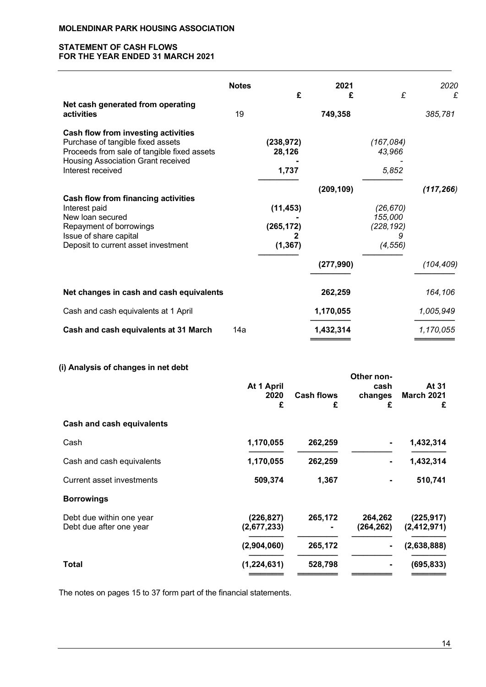## STATEMENT OF CASH FLOWS FOR THE YEAR ENDED 31 MARCH 2021

|                                                                                                                                                                                    | <b>Notes</b> | £                                   | 2021<br>£  | £                                              | 2020<br>£  |
|------------------------------------------------------------------------------------------------------------------------------------------------------------------------------------|--------------|-------------------------------------|------------|------------------------------------------------|------------|
| Net cash generated from operating<br>activities                                                                                                                                    | 19           |                                     | 749,358    |                                                | 385,781    |
| Cash flow from investing activities<br>Purchase of tangible fixed assets<br>Proceeds from sale of tangible fixed assets<br>Housing Association Grant received<br>Interest received |              | (238, 972)<br>28,126<br>1,737       |            | (167,084)<br>43,966<br>5,852                   |            |
| Cash flow from financing activities<br>Interest paid<br>New loan secured<br>Repayment of borrowings<br>Issue of share capital<br>Deposit to current asset investment               |              | (11, 453)<br>(265, 172)<br>(1, 367) | (209, 109) | (26, 670)<br>155,000<br>(228, 192)<br>(4, 556) | (117, 266) |
|                                                                                                                                                                                    |              |                                     | (277, 990) |                                                | (104, 409) |
| Net changes in cash and cash equivalents                                                                                                                                           |              |                                     | 262,259    |                                                | 164,106    |
| Cash and cash equivalents at 1 April                                                                                                                                               |              |                                     | 1,170,055  |                                                | 1,005,949  |
| Cash and cash equivalents at 31 March                                                                                                                                              | 14a          |                                     | 1,432,314  |                                                | 1,170,055  |

# (i) Analysis of changes in net debt

|                                                     | At 1 April<br>2020<br>£   | <b>Cash flows</b><br>£ | Other non-<br>cash<br>changes<br>£ | At 31<br><b>March 2021</b><br>£ |
|-----------------------------------------------------|---------------------------|------------------------|------------------------------------|---------------------------------|
| Cash and cash equivalents                           |                           |                        |                                    |                                 |
| Cash                                                | 1,170,055                 | 262,259                |                                    | 1,432,314                       |
| Cash and cash equivalents                           | 1,170,055                 | 262,259                |                                    | 1,432,314                       |
| <b>Current asset investments</b>                    | 509,374                   | 1,367                  |                                    | 510,741                         |
| <b>Borrowings</b>                                   |                           |                        |                                    |                                 |
| Debt due within one year<br>Debt due after one year | (226, 827)<br>(2,677,233) | 265,172                | 264,262<br>(264, 262)              | (225, 917)<br>(2, 412, 971)     |
|                                                     | (2,904,060)               | 265,172                |                                    | (2,638,888)                     |
| Total                                               | (1,224,631)               | 528,798                |                                    | (695, 833)                      |
|                                                     |                           |                        |                                    |                                 |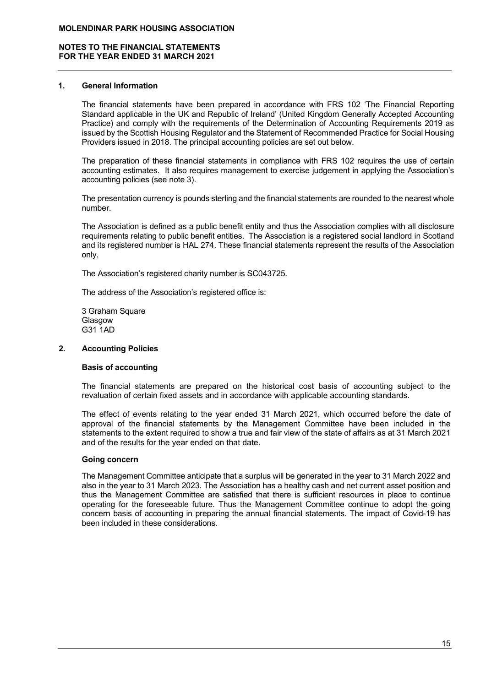## 1. General Information

The financial statements have been prepared in accordance with FRS 102 'The Financial Reporting Standard applicable in the UK and Republic of Ireland' (United Kingdom Generally Accepted Accounting Practice) and comply with the requirements of the Determination of Accounting Requirements 2019 as issued by the Scottish Housing Regulator and the Statement of Recommended Practice for Social Housing Providers issued in 2018. The principal accounting policies are set out below.

The preparation of these financial statements in compliance with FRS 102 requires the use of certain accounting estimates. It also requires management to exercise judgement in applying the Association's accounting policies (see note 3).

The presentation currency is pounds sterling and the financial statements are rounded to the nearest whole number.

The Association is defined as a public benefit entity and thus the Association complies with all disclosure requirements relating to public benefit entities. The Association is a registered social landlord in Scotland and its registered number is HAL 274. These financial statements represent the results of the Association only.

The Association's registered charity number is SC043725.

The address of the Association's registered office is:

3 Graham Square **Glasgow** G31 1AD

# 2. Accounting Policies

# Basis of accounting

The financial statements are prepared on the historical cost basis of accounting subject to the revaluation of certain fixed assets and in accordance with applicable accounting standards.

The effect of events relating to the year ended 31 March 2021, which occurred before the date of approval of the financial statements by the Management Committee have been included in the statements to the extent required to show a true and fair view of the state of affairs as at 31 March 2021 and of the results for the year ended on that date.

#### Going concern

The Management Committee anticipate that a surplus will be generated in the year to 31 March 2022 and also in the year to 31 March 2023. The Association has a healthy cash and net current asset position and thus the Management Committee are satisfied that there is sufficient resources in place to continue operating for the foreseeable future. Thus the Management Committee continue to adopt the going concern basis of accounting in preparing the annual financial statements. The impact of Covid-19 has been included in these considerations.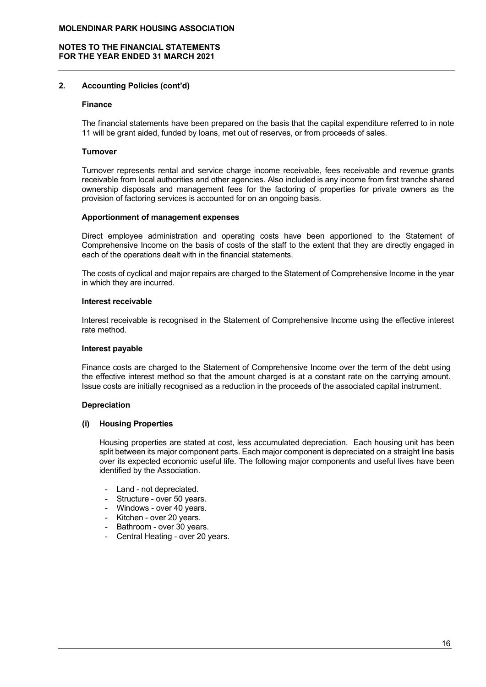## 2. Accounting Policies (cont'd)

#### Finance

The financial statements have been prepared on the basis that the capital expenditure referred to in note 11 will be grant aided, funded by loans, met out of reserves, or from proceeds of sales.

#### Turnover

Turnover represents rental and service charge income receivable, fees receivable and revenue grants receivable from local authorities and other agencies. Also included is any income from first tranche shared ownership disposals and management fees for the factoring of properties for private owners as the provision of factoring services is accounted for on an ongoing basis.

#### Apportionment of management expenses

Direct employee administration and operating costs have been apportioned to the Statement of Comprehensive Income on the basis of costs of the staff to the extent that they are directly engaged in each of the operations dealt with in the financial statements.

The costs of cyclical and major repairs are charged to the Statement of Comprehensive Income in the year in which they are incurred.

#### Interest receivable

Interest receivable is recognised in the Statement of Comprehensive Income using the effective interest rate method.

#### Interest payable

Finance costs are charged to the Statement of Comprehensive Income over the term of the debt using the effective interest method so that the amount charged is at a constant rate on the carrying amount. Issue costs are initially recognised as a reduction in the proceeds of the associated capital instrument.

#### Depreciation

#### (i) Housing Properties

Housing properties are stated at cost, less accumulated depreciation. Each housing unit has been split between its major component parts. Each major component is depreciated on a straight line basis over its expected economic useful life. The following major components and useful lives have been identified by the Association.

- Land not depreciated.
- Structure over 50 years.
- Windows over 40 years.
- Kitchen over 20 years.
- Bathroom over 30 years.
- Central Heating over 20 years.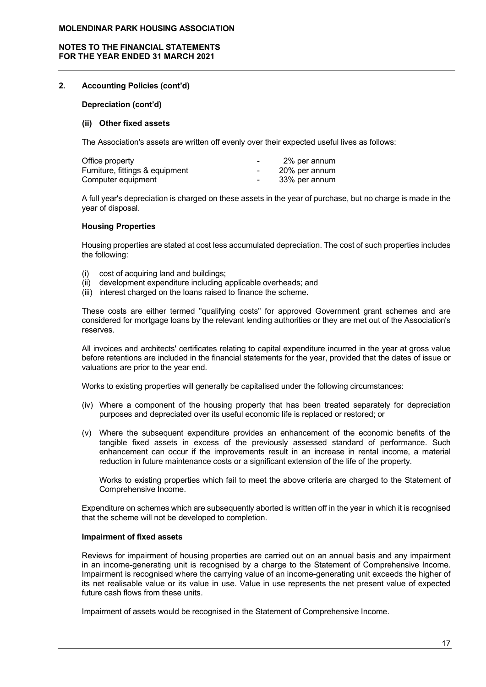## NOTES TO THE FINANCIAL STATEMENTS FOR THE YEAR ENDED 31 MARCH 2021

## 2. Accounting Policies (cont'd)

Depreciation (cont'd)

#### (ii) Other fixed assets

The Association's assets are written off evenly over their expected useful lives as follows:

| Office property                 | $\blacksquare$ | 2% per annum  |
|---------------------------------|----------------|---------------|
| Furniture, fittings & equipment | $\sim$         | 20% per annum |
| Computer equipment              | $\sim$         | 33% per annum |

A full year's depreciation is charged on these assets in the year of purchase, but no charge is made in the year of disposal.

#### Housing Properties

Housing properties are stated at cost less accumulated depreciation. The cost of such properties includes the following:

- (i) cost of acquiring land and buildings;
- (ii) development expenditure including applicable overheads; and
- (iii) interest charged on the loans raised to finance the scheme.

These costs are either termed "qualifying costs" for approved Government grant schemes and are considered for mortgage loans by the relevant lending authorities or they are met out of the Association's reserves.

All invoices and architects' certificates relating to capital expenditure incurred in the year at gross value before retentions are included in the financial statements for the year, provided that the dates of issue or valuations are prior to the year end.

Works to existing properties will generally be capitalised under the following circumstances:

- (iv) Where a component of the housing property that has been treated separately for depreciation purposes and depreciated over its useful economic life is replaced or restored; or
- (v) Where the subsequent expenditure provides an enhancement of the economic benefits of the tangible fixed assets in excess of the previously assessed standard of performance. Such enhancement can occur if the improvements result in an increase in rental income, a material reduction in future maintenance costs or a significant extension of the life of the property.

Works to existing properties which fail to meet the above criteria are charged to the Statement of Comprehensive Income.

Expenditure on schemes which are subsequently aborted is written off in the year in which it is recognised that the scheme will not be developed to completion.

#### Impairment of fixed assets

Reviews for impairment of housing properties are carried out on an annual basis and any impairment in an income-generating unit is recognised by a charge to the Statement of Comprehensive Income. Impairment is recognised where the carrying value of an income-generating unit exceeds the higher of its net realisable value or its value in use. Value in use represents the net present value of expected future cash flows from these units.

Impairment of assets would be recognised in the Statement of Comprehensive Income.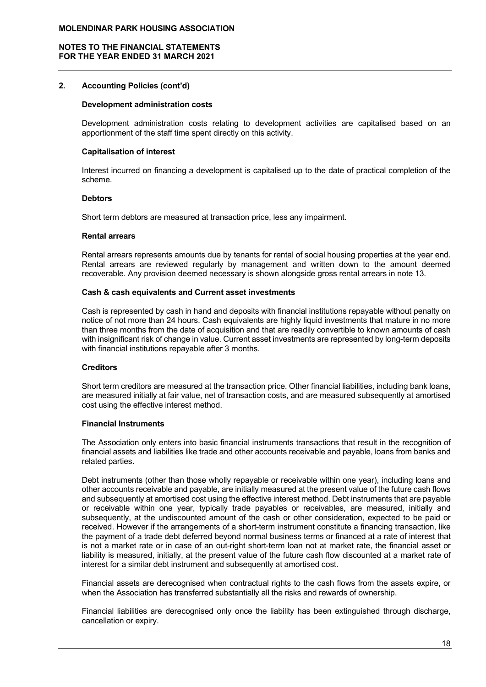## 2. Accounting Policies (cont'd)

#### Development administration costs

Development administration costs relating to development activities are capitalised based on an apportionment of the staff time spent directly on this activity.

#### Capitalisation of interest

Interest incurred on financing a development is capitalised up to the date of practical completion of the scheme.

#### Debtors

Short term debtors are measured at transaction price, less any impairment.

#### Rental arrears

Rental arrears represents amounts due by tenants for rental of social housing properties at the year end. Rental arrears are reviewed regularly by management and written down to the amount deemed recoverable. Any provision deemed necessary is shown alongside gross rental arrears in note 13.

#### Cash & cash equivalents and Current asset investments

Cash is represented by cash in hand and deposits with financial institutions repayable without penalty on notice of not more than 24 hours. Cash equivalents are highly liquid investments that mature in no more than three months from the date of acquisition and that are readily convertible to known amounts of cash with insignificant risk of change in value. Current asset investments are represented by long-term deposits with financial institutions repayable after 3 months.

#### **Creditors**

Short term creditors are measured at the transaction price. Other financial liabilities, including bank loans, are measured initially at fair value, net of transaction costs, and are measured subsequently at amortised cost using the effective interest method.

#### Financial Instruments

The Association only enters into basic financial instruments transactions that result in the recognition of financial assets and liabilities like trade and other accounts receivable and payable, loans from banks and related parties.

Debt instruments (other than those wholly repayable or receivable within one year), including loans and other accounts receivable and payable, are initially measured at the present value of the future cash flows and subsequently at amortised cost using the effective interest method. Debt instruments that are payable or receivable within one year, typically trade payables or receivables, are measured, initially and subsequently, at the undiscounted amount of the cash or other consideration, expected to be paid or received. However if the arrangements of a short-term instrument constitute a financing transaction, like the payment of a trade debt deferred beyond normal business terms or financed at a rate of interest that is not a market rate or in case of an out-right short-term loan not at market rate, the financial asset or liability is measured, initially, at the present value of the future cash flow discounted at a market rate of interest for a similar debt instrument and subsequently at amortised cost.

Financial assets are derecognised when contractual rights to the cash flows from the assets expire, or when the Association has transferred substantially all the risks and rewards of ownership.

Financial liabilities are derecognised only once the liability has been extinguished through discharge, cancellation or expiry.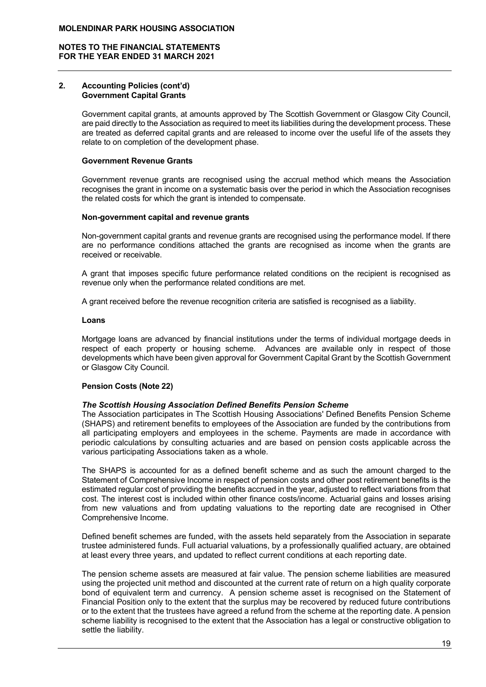#### 2. Accounting Policies (cont'd) Government Capital Grants

Government capital grants, at amounts approved by The Scottish Government or Glasgow City Council, are paid directly to the Association as required to meet its liabilities during the development process. These are treated as deferred capital grants and are released to income over the useful life of the assets they relate to on completion of the development phase.

#### Government Revenue Grants

Government revenue grants are recognised using the accrual method which means the Association recognises the grant in income on a systematic basis over the period in which the Association recognises the related costs for which the grant is intended to compensate.

#### Non-government capital and revenue grants

Non-government capital grants and revenue grants are recognised using the performance model. If there are no performance conditions attached the grants are recognised as income when the grants are received or receivable.

A grant that imposes specific future performance related conditions on the recipient is recognised as revenue only when the performance related conditions are met.

A grant received before the revenue recognition criteria are satisfied is recognised as a liability.

## Loans

Mortgage loans are advanced by financial institutions under the terms of individual mortgage deeds in respect of each property or housing scheme. Advances are available only in respect of those developments which have been given approval for Government Capital Grant by the Scottish Government or Glasgow City Council.

# Pension Costs (Note 22)

#### The Scottish Housing Association Defined Benefits Pension Scheme

The Association participates in The Scottish Housing Associations' Defined Benefits Pension Scheme (SHAPS) and retirement benefits to employees of the Association are funded by the contributions from all participating employers and employees in the scheme. Payments are made in accordance with periodic calculations by consulting actuaries and are based on pension costs applicable across the various participating Associations taken as a whole.

The SHAPS is accounted for as a defined benefit scheme and as such the amount charged to the Statement of Comprehensive Income in respect of pension costs and other post retirement benefits is the estimated regular cost of providing the benefits accrued in the year, adjusted to reflect variations from that cost. The interest cost is included within other finance costs/income. Actuarial gains and losses arising from new valuations and from updating valuations to the reporting date are recognised in Other Comprehensive Income.

Defined benefit schemes are funded, with the assets held separately from the Association in separate trustee administered funds. Full actuarial valuations, by a professionally qualified actuary, are obtained at least every three years, and updated to reflect current conditions at each reporting date.

The pension scheme assets are measured at fair value. The pension scheme liabilities are measured using the projected unit method and discounted at the current rate of return on a high quality corporate bond of equivalent term and currency. A pension scheme asset is recognised on the Statement of Financial Position only to the extent that the surplus may be recovered by reduced future contributions or to the extent that the trustees have agreed a refund from the scheme at the reporting date. A pension scheme liability is recognised to the extent that the Association has a legal or constructive obligation to settle the liability.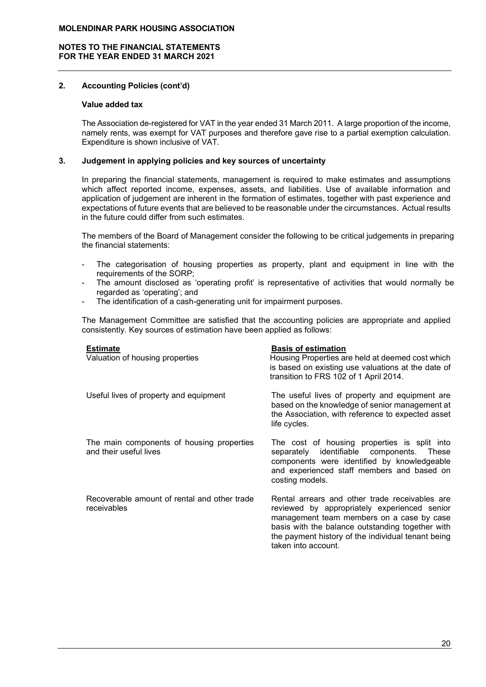## 2. Accounting Policies (cont'd)

## Value added tax

The Association de-registered for VAT in the year ended 31 March 2011. A large proportion of the income, namely rents, was exempt for VAT purposes and therefore gave rise to a partial exemption calculation. Expenditure is shown inclusive of VAT.

## 3. Judgement in applying policies and key sources of uncertainty

In preparing the financial statements, management is required to make estimates and assumptions which affect reported income, expenses, assets, and liabilities. Use of available information and application of judgement are inherent in the formation of estimates, together with past experience and expectations of future events that are believed to be reasonable under the circumstances. Actual results in the future could differ from such estimates.

The members of the Board of Management consider the following to be critical judgements in preparing the financial statements:

- The categorisation of housing properties as property, plant and equipment in line with the requirements of the SORP;
- The amount disclosed as 'operating profit' is representative of activities that would normally be regarded as 'operating'; and
- The identification of a cash-generating unit for impairment purposes.

The Management Committee are satisfied that the accounting policies are appropriate and applied consistently. Key sources of estimation have been applied as follows:

| <b>Estimate</b><br>Valuation of housing properties                  | <b>Basis of estimation</b><br>Housing Properties are held at deemed cost which<br>is based on existing use valuations at the date of<br>transition to FRS 102 of 1 April 2014.                                                                                               |
|---------------------------------------------------------------------|------------------------------------------------------------------------------------------------------------------------------------------------------------------------------------------------------------------------------------------------------------------------------|
| Useful lives of property and equipment                              | The useful lives of property and equipment are<br>based on the knowledge of senior management at<br>the Association, with reference to expected asset<br>life cycles.                                                                                                        |
| The main components of housing properties<br>and their useful lives | The cost of housing properties is split into<br>separately identifiable components. These<br>components were identified by knowledgeable<br>and experienced staff members and based on<br>costing models.                                                                    |
| Recoverable amount of rental and other trade<br>receivables         | Rental arrears and other trade receivables are<br>reviewed by appropriately experienced senior<br>management team members on a case by case<br>basis with the balance outstanding together with<br>the payment history of the individual tenant being<br>taken into account. |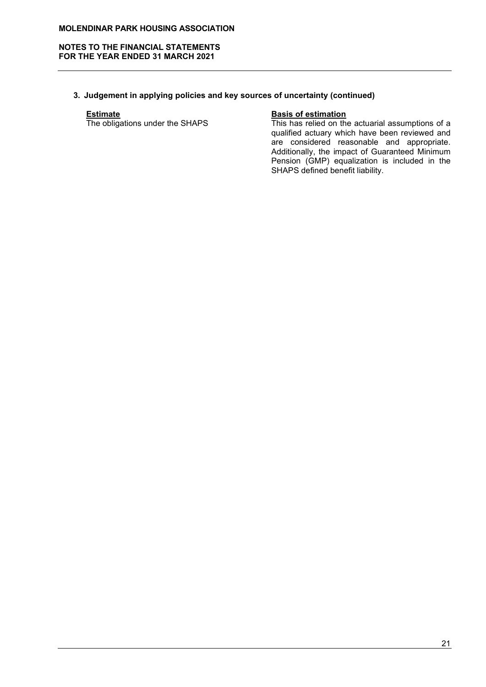#### NOTES TO THE FINANCIAL STATEMENTS FOR THE YEAR ENDED 31 MARCH 2021

# 3. Judgement in applying policies and key sources of uncertainty (continued)

**Estimate**<br>The obligations under the SHAPS

Basis of estimation<br>This has relied on the actuarial assumptions of a qualified actuary which have been reviewed and are considered reasonable and appropriate. Additionally, the impact of Guaranteed Minimum Pension (GMP) equalization is included in the SHAPS defined benefit liability.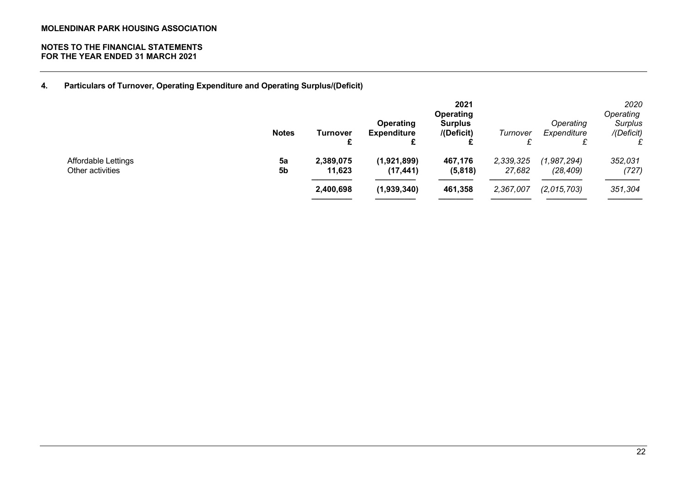4. Particulars of Turnover, Operating Expenditure and Operating Surplus/(Deficit)

|                                         | <b>Notes</b> | Turnover<br>£<br>L               | <b>Operating</b><br><b>Expenditure</b>  | 2021<br>Operating<br><b>Surplus</b><br>/(Deficit) | Turnover                         | Operating<br>Expenditure<br>c.<br>~     | 2020<br>Operating<br>Surplus<br>/(Deficit) |
|-----------------------------------------|--------------|----------------------------------|-----------------------------------------|---------------------------------------------------|----------------------------------|-----------------------------------------|--------------------------------------------|
| Affordable Lettings<br>Other activities | 5a<br>5b     | 2,389,075<br>11,623<br>2,400,698 | (1,921,899)<br>(17, 441)<br>(1,939,340) | 467,176<br>(5,818)<br>461,358                     | 2,339,325<br>27,682<br>2,367,007 | (1,987,294)<br>(28, 409)<br>(2,015,703) | 352,031<br>(727)<br>351,304                |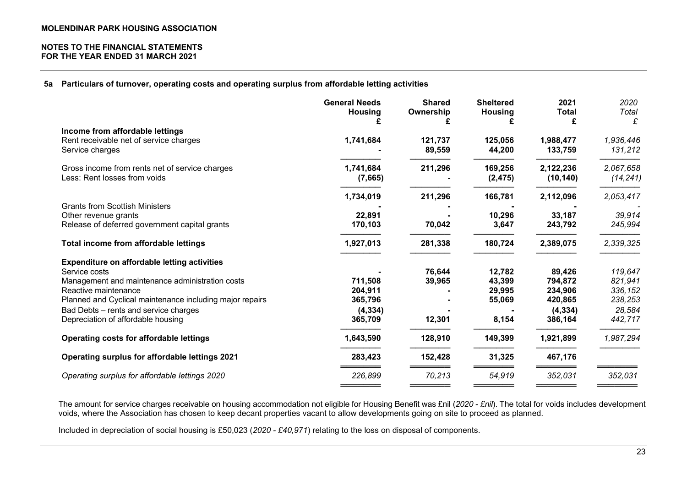## 5a Particulars of turnover, operating costs and operating surplus from affordable letting activities

|                                                                                | <b>General Needs</b><br><b>Housing</b> | <b>Shared</b><br>Ownership | <b>Sheltered</b><br><b>Housing</b> | 2021<br><b>Total</b><br>£ | 2020<br>Total<br>£   |
|--------------------------------------------------------------------------------|----------------------------------------|----------------------------|------------------------------------|---------------------------|----------------------|
| Income from affordable lettings                                                |                                        |                            |                                    |                           |                      |
| Rent receivable net of service charges<br>Service charges                      | 1,741,684                              | 121,737<br>89,559          | 125,056<br>44,200                  | 1,988,477<br>133,759      | 1,936,446<br>131,212 |
| Gross income from rents net of service charges<br>Less: Rent losses from voids | 1,741,684                              | 211,296                    | 169,256                            | 2,122,236                 | 2,067,658            |
|                                                                                | (7,665)                                |                            | (2, 475)                           | (10, 140)                 | (14, 241)            |
|                                                                                | 1,734,019                              | 211,296                    | 166,781                            | 2,112,096                 | 2,053,417            |
| <b>Grants from Scottish Ministers</b>                                          |                                        |                            |                                    |                           |                      |
| Other revenue grants                                                           | 22,891                                 |                            | 10,296                             | 33,187                    | 39,914               |
| Release of deferred government capital grants                                  | 170,103                                | 70,042                     | 3,647                              | 243,792                   | 245,994              |
| Total income from affordable lettings                                          | 1,927,013                              | 281,338                    | 180,724                            | 2,389,075                 | 2,339,325            |
| <b>Expenditure on affordable letting activities</b>                            |                                        |                            |                                    |                           |                      |
| Service costs                                                                  |                                        | 76,644                     | 12,782                             | 89,426                    | 119,647              |
| Management and maintenance administration costs                                | 711,508                                | 39,965                     | 43,399                             | 794,872                   | 821,941              |
| Reactive maintenance                                                           | 204,911                                |                            | 29,995                             | 234,906                   | 336, 152             |
| Planned and Cyclical maintenance including major repairs                       | 365,796                                |                            | 55,069                             | 420,865                   | 238,253              |
| Bad Debts - rents and service charges                                          | (4, 334)                               |                            |                                    | (4, 334)                  | 28,584               |
| Depreciation of affordable housing                                             | 365,709                                | 12,301                     | 8,154                              | 386,164                   | 442,717              |
| Operating costs for affordable lettings                                        | 1,643,590                              | 128,910                    | 149,399                            | 1,921,899                 | 1,987,294            |
| Operating surplus for affordable lettings 2021                                 | 283,423                                | 152,428                    | 31,325                             | 467,176                   |                      |
| Operating surplus for affordable lettings 2020                                 | 226,899                                | 70,213                     | 54,919                             | 352,031                   | 352,031              |
|                                                                                |                                        |                            |                                    |                           |                      |

The amount for service charges receivable on housing accommodation not eligible for Housing Benefit was £nil (2020 - £nil). The total for voids includes development voids, where the Association has chosen to keep decant properties vacant to allow developments going on site to proceed as planned.

Included in depreciation of social housing is £50,023 (2020 - £40,971) relating to the loss on disposal of components.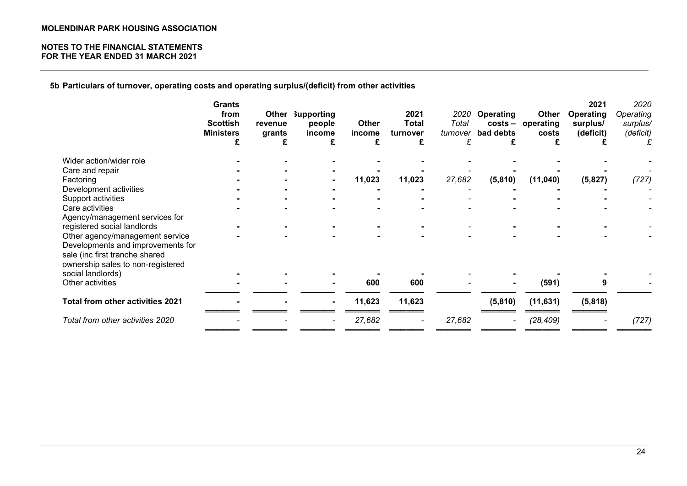## NOTES TO THE FINANCIAL STATEMENTS FOR THE YEAR ENDED 31 MARCH 2021

5b Particulars of turnover, operating costs and operating surplus/(deficit) from other activities

|                                                                                                          | <b>Grants</b><br>from<br><b>Scottish</b><br><b>Ministers</b><br>£ | Other<br>revenue<br>grants<br>£ | <b>Supporting</b><br>people<br>income<br>£ | <b>Other</b><br>income<br>£ | 2021<br><b>Total</b><br>turnover<br>£ | Total<br>turnover<br>£ | 2020 Operating<br>bad debts<br>£ | Other<br>costs - operating<br>costs | 2021<br>Operating<br>surplus/<br>(deficit) | 2020<br>Operating<br>surplus/<br>(deficit) |
|----------------------------------------------------------------------------------------------------------|-------------------------------------------------------------------|---------------------------------|--------------------------------------------|-----------------------------|---------------------------------------|------------------------|----------------------------------|-------------------------------------|--------------------------------------------|--------------------------------------------|
| Wider action/wider role                                                                                  |                                                                   |                                 |                                            |                             |                                       |                        |                                  |                                     |                                            |                                            |
| Care and repair                                                                                          |                                                                   |                                 |                                            |                             |                                       |                        |                                  |                                     |                                            |                                            |
| Factoring                                                                                                |                                                                   |                                 |                                            | 11,023                      | 11,023                                | 27,682                 | (5,810)                          | (11,040)                            | (5,827)                                    | (727)                                      |
| Development activities                                                                                   |                                                                   |                                 |                                            |                             |                                       |                        |                                  |                                     |                                            |                                            |
| Support activities                                                                                       |                                                                   |                                 |                                            |                             |                                       |                        |                                  |                                     |                                            |                                            |
| Care activities                                                                                          |                                                                   |                                 |                                            |                             |                                       |                        |                                  |                                     |                                            |                                            |
| Agency/management services for                                                                           |                                                                   |                                 |                                            |                             |                                       |                        |                                  |                                     |                                            |                                            |
| registered social landlords                                                                              |                                                                   |                                 |                                            |                             |                                       |                        |                                  |                                     |                                            |                                            |
| Other agency/management service                                                                          |                                                                   |                                 |                                            |                             |                                       |                        |                                  |                                     |                                            |                                            |
| Developments and improvements for<br>sale (inc first tranche shared<br>ownership sales to non-registered |                                                                   |                                 |                                            |                             |                                       |                        |                                  |                                     |                                            |                                            |
| social landlords)                                                                                        |                                                                   |                                 |                                            |                             |                                       |                        |                                  |                                     |                                            |                                            |
| Other activities                                                                                         |                                                                   |                                 | $\blacksquare$                             | 600                         | 600                                   |                        |                                  | (591)                               | 9                                          |                                            |
| Total from other activities 2021                                                                         |                                                                   |                                 |                                            | 11,623                      | 11,623                                |                        | (5,810)                          | (11, 631)                           | (5,818)                                    |                                            |
| Total from other activities 2020                                                                         |                                                                   |                                 |                                            | 27,682                      |                                       | 27,682                 |                                  | (28, 409)                           |                                            | (727)                                      |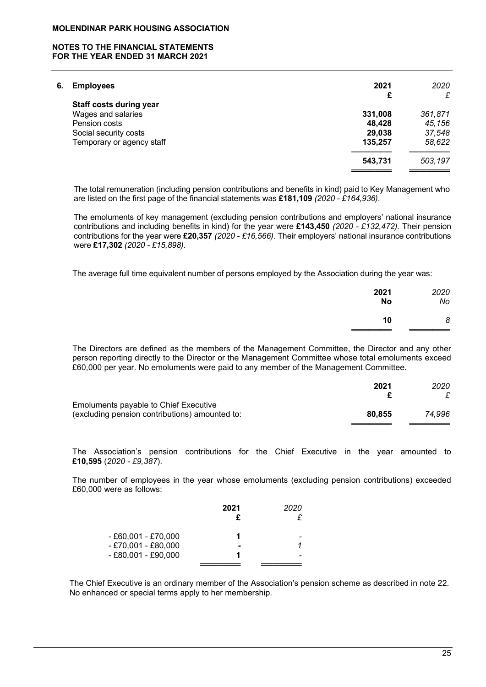### NOTES TO THE FINANCIAL STATEMENTS FOR THE YEAR ENDED 31 MARCH 2021

| <b>Employees</b>          | 2021                           | 2020    |
|---------------------------|--------------------------------|---------|
|                           | £                              | £       |
|                           |                                |         |
| Wages and salaries        | 331,008                        | 361,871 |
| Pension costs             | 48,428                         | 45,156  |
| Social security costs     | 29,038                         | 37,548  |
| Temporary or agency staff | 135,257                        | 58,622  |
|                           | 543,731                        | 503,197 |
|                           | <b>Staff costs during year</b> |         |

 The total remuneration (including pension contributions and benefits in kind) paid to Key Management who are listed on the first page of the financial statements was £181,109 (2020 - £164,936).

The emoluments of key management (excluding pension contributions and employers' national insurance contributions and including benefits in kind) for the year were £143,450 (2020 - £132,472). Their pension contributions for the year were £20,357 (2020 - £16,566). Their employers' national insurance contributions were £17,302 (2020 - £15,898).

The average full time equivalent number of persons employed by the Association during the year was:

| 2021      | 2020 |
|-----------|------|
| <b>No</b> | No   |
| 10        | 8    |

 The Directors are defined as the members of the Management Committee, the Director and any other person reporting directly to the Director or the Management Committee whose total emoluments exceed £60,000 per year. No emoluments were paid to any member of the Management Committee.

|                                                | 2021   | 2020   |
|------------------------------------------------|--------|--------|
|                                                |        |        |
| Emoluments payable to Chief Executive          |        |        |
| (excluding pension contributions) amounted to: | 80.855 | 74.996 |
|                                                |        |        |

The Association's pension contributions for the Chief Executive in the year amounted to £10,595 (2020 - £9,387).

The number of employees in the year whose emoluments (excluding pension contributions) exceeded £60,000 were as follows:

|                                                | 2021           | 2020 |
|------------------------------------------------|----------------|------|
| $- E60,001 - E70,000$<br>$- E70,001 - E80,000$ | $\blacksquare$ |      |
| $- E80,001 - E90,000$                          |                |      |

The Chief Executive is an ordinary member of the Association's pension scheme as described in note 22. No enhanced or special terms apply to her membership.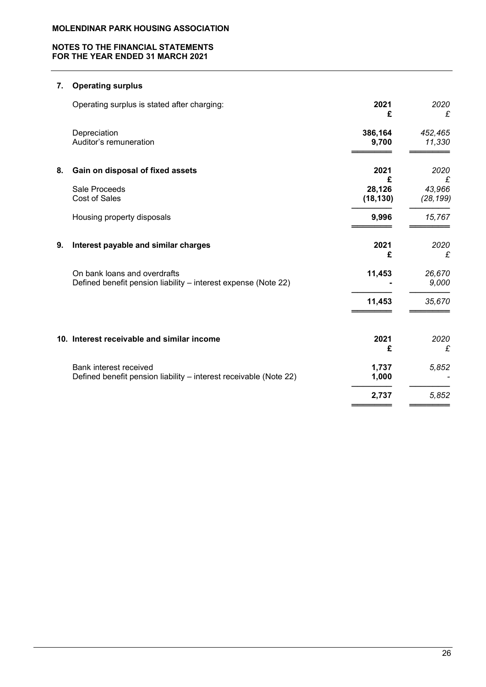## NOTES TO THE FINANCIAL STATEMENTS FOR THE YEAR ENDED 31 MARCH 2021

# 7. Operating surplus

|    | Operating surplus is stated after charging:                                                    | 2021<br>£                | 2020<br>£                |
|----|------------------------------------------------------------------------------------------------|--------------------------|--------------------------|
|    | Depreciation<br>Auditor's remuneration                                                         | 386,164<br>9,700         | 452,465<br>11,330        |
| 8. | Gain on disposal of fixed assets                                                               | 2021                     | 2020                     |
|    | Sale Proceeds<br>Cost of Sales                                                                 | £<br>28,126<br>(18, 130) | £<br>43,966<br>(28, 199) |
|    | Housing property disposals                                                                     | 9,996                    | 15,767                   |
| 9. | Interest payable and similar charges                                                           | 2021<br>£                | 2020<br>£                |
|    | On bank loans and overdrafts<br>Defined benefit pension liability - interest expense (Note 22) | 11,453                   | 26,670<br>9,000          |
|    |                                                                                                | 11,453                   | 35,670                   |
|    | 10. Interest receivable and similar income                                                     | 2021<br>£                | 2020<br>£                |
|    | Bank interest received<br>Defined benefit pension liability - interest receivable (Note 22)    | 1,737<br>1,000           | 5,852                    |
|    |                                                                                                | 2,737                    | 5,852                    |
|    |                                                                                                |                          |                          |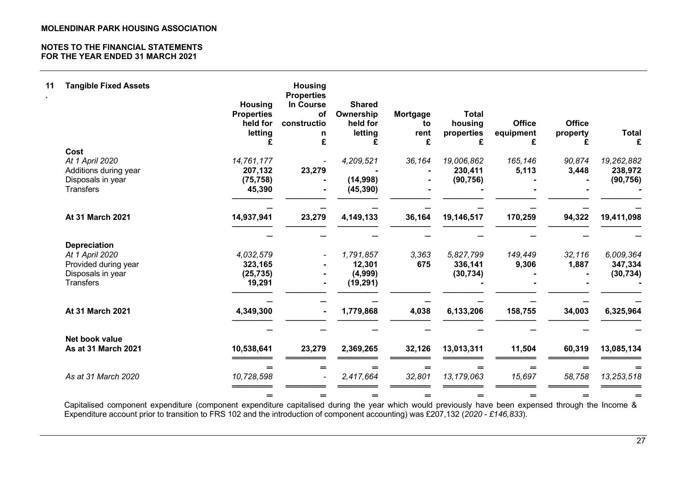| 11 | <b>Tangible Fixed Assets</b>                                                                            | <b>Housing</b><br><b>Properties</b><br>held for<br>letting<br>£ | <b>Housing</b><br><b>Properties</b><br>In Course<br><b>of</b><br>constructio<br>n<br>£ | <b>Shared</b><br>Ownership<br>held for<br>letting<br>£ | Mortgage<br>to<br>rent<br>£ | <b>Total</b><br>housing<br>properties<br>£ | <b>Office</b><br>equipment<br>£ | <b>Office</b><br>property<br>£ | <b>Total</b><br>£                  |
|----|---------------------------------------------------------------------------------------------------------|-----------------------------------------------------------------|----------------------------------------------------------------------------------------|--------------------------------------------------------|-----------------------------|--------------------------------------------|---------------------------------|--------------------------------|------------------------------------|
|    | Cost                                                                                                    |                                                                 |                                                                                        |                                                        |                             |                                            |                                 |                                |                                    |
|    | At 1 April 2020<br>Additions during year<br>Disposals in year<br><b>Transfers</b>                       | 14,761,177<br>207,132<br>(75, 758)<br>45,390                    | 23,279                                                                                 | 4,209,521<br>(14,998)<br>(45, 390)                     | 36,164                      | 19,006,862<br>230,411<br>(90, 756)         | 165,146<br>5,113                | 90.874<br>3,448                | 19,262,882<br>238,972<br>(90, 756) |
|    | At 31 March 2021                                                                                        | 14,937,941                                                      | 23,279                                                                                 | 4,149,133                                              | 36,164                      | 19,146,517                                 | 170,259                         | 94,322                         | 19,411,098                         |
|    |                                                                                                         |                                                                 |                                                                                        |                                                        |                             |                                            |                                 |                                |                                    |
|    | <b>Depreciation</b><br>At 1 April 2020<br>Provided during year<br>Disposals in year<br><b>Transfers</b> | 4,032,579<br>323,165<br>(25, 735)<br>19,291                     |                                                                                        | 1,791,857<br>12,301<br>(4,999)<br>(19, 291)            | 3,363<br>675                | 5,827,799<br>336,141<br>(30, 734)          | 149,449<br>9,306                | 32,116<br>1,887                | 6,009,364<br>347,334<br>(30, 734)  |
|    | <b>At 31 March 2021</b>                                                                                 | 4,349,300                                                       |                                                                                        | 1,779,868                                              | 4,038                       | 6,133,206                                  | 158,755                         | 34,003                         | 6,325,964                          |
|    |                                                                                                         |                                                                 |                                                                                        |                                                        |                             |                                            |                                 |                                |                                    |
|    | Net book value<br>As at 31 March 2021                                                                   | 10,538,641                                                      | 23,279                                                                                 | 2,369,265                                              | 32,126                      | 13,013,311                                 | 11,504                          | 60,319                         | 13,085,134                         |
|    | As at 31 March 2020                                                                                     | $=$<br>10,728,598                                               | $=$                                                                                    | $=$<br>2,417,664                                       | $=$<br>32,801               | $=$<br>13,179,063                          | $=$<br>15,697                   | $=$<br>58,758                  | 13,253,518                         |
|    |                                                                                                         | $=$                                                             | $=$                                                                                    | $=$                                                    | $=$                         | =                                          | $=$                             | $=$                            | =                                  |

Capitalised component expenditure (component expenditure capitalised during the year which would previously have been expensed through the Income & Expenditure account prior to transition to FRS 102 and the introduction of component accounting) was £207,132 (2020 - £146,833).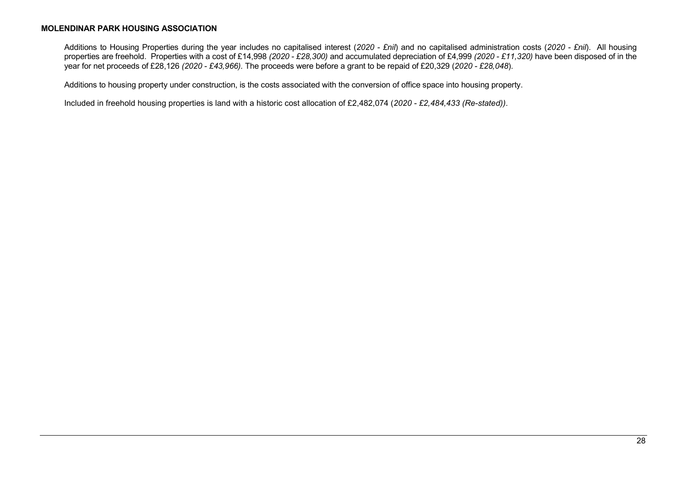Additions to Housing Properties during the year includes no capitalised interest (2020 - £nil) and no capitalised administration costs (2020 - £nil). All housing properties are freehold. Properties with a cost of £14,998 (2020 - £28,300) and accumulated depreciation of £4,999 (2020 - £11,320) have been disposed of in the year for net proceeds of £28,126 (2020 - £43,966). The proceeds were before a grant to be repaid of £20,329 (2020 - £28,048).

Additions to housing property under construction, is the costs associated with the conversion of office space into housing property.

Included in freehold housing properties is land with a historic cost allocation of £2,482,074 (2020 - £2,484,433 (Re-stated)).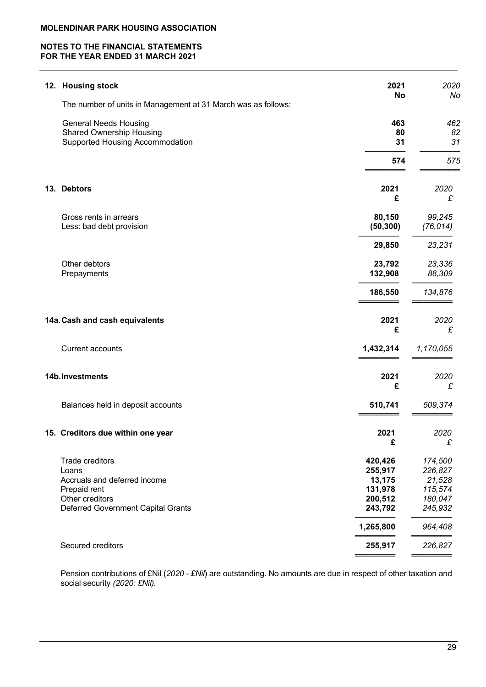# NOTES TO THE FINANCIAL STATEMENTS FOR THE YEAR ENDED 31 MARCH 2021

| <b>Housing stock</b><br>12.                                                                                                       |                                                               | 2021<br>2020                                                  |
|-----------------------------------------------------------------------------------------------------------------------------------|---------------------------------------------------------------|---------------------------------------------------------------|
| The number of units in Management at 31 March was as follows:                                                                     |                                                               | <b>No</b><br>No                                               |
| <b>General Needs Housing</b><br><b>Shared Ownership Housing</b><br>Supported Housing Accommodation                                |                                                               | 463<br>462<br>82<br>80<br>31<br>31                            |
|                                                                                                                                   |                                                               | 574<br>575                                                    |
| 13. Debtors                                                                                                                       | 2021                                                          | 2020<br>£<br>£                                                |
| Gross rents in arrears<br>Less: bad debt provision                                                                                | 80,150<br>(50, 300)                                           | 99,245<br>(76, 014)                                           |
|                                                                                                                                   | 29,850                                                        | 23,231                                                        |
| Other debtors<br>Prepayments                                                                                                      | 23,792<br>132,908                                             | 23,336<br>88,309                                              |
|                                                                                                                                   | 186,550                                                       | 134,876                                                       |
| 14a. Cash and cash equivalents                                                                                                    | 2021                                                          | 2020<br>£<br>£                                                |
| <b>Current accounts</b>                                                                                                           | 1,432,314                                                     | 1,170,055                                                     |
| 14b. Investments                                                                                                                  | 2021                                                          | 2020<br>£<br>£                                                |
| Balances held in deposit accounts                                                                                                 | 510,741                                                       | 509,374                                                       |
| 15. Creditors due within one year                                                                                                 | 2021<br>£                                                     | 2020<br>£                                                     |
| Trade creditors<br>Loans<br>Accruals and deferred income<br>Prepaid rent<br>Other creditors<br>Deferred Government Capital Grants | 420,426<br>255,917<br>13,175<br>131,978<br>200,512<br>243,792 | 174,500<br>226,827<br>21,528<br>115,574<br>180,047<br>245,932 |
|                                                                                                                                   | 1,265,800                                                     | 964,408                                                       |
| Secured creditors                                                                                                                 | 255,917                                                       | 226,827                                                       |

Pension contributions of £Nil (2020 - £Nil) are outstanding. No amounts are due in respect of other taxation and social security (2020: £Nil).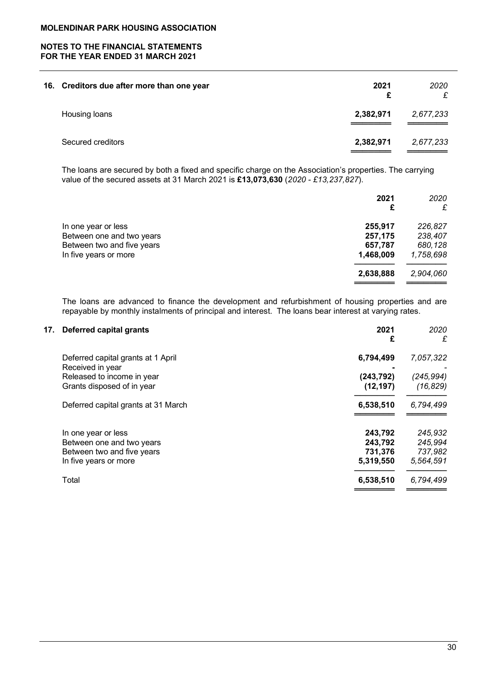# NOTES TO THE FINANCIAL STATEMENTS FOR THE YEAR ENDED 31 MARCH 2021

| 16. Creditors due after more than one year | 2021<br>£ | 2020<br>£ |
|--------------------------------------------|-----------|-----------|
| Housing loans                              | 2,382,971 | 2,677,233 |
| Secured creditors                          | 2,382,971 | 2,677,233 |

The loans are secured by both a fixed and specific charge on the Association's properties. The carrying value of the secured assets at 31 March 2021 is £13,073,630 (2020 - £13,237,827).

|                            | 2021<br>£ | 2020<br>£ |
|----------------------------|-----------|-----------|
| In one year or less        | 255,917   | 226,827   |
| Between one and two years  | 257,175   | 238,407   |
| Between two and five years | 657,787   | 680,128   |
| In five years or more      | 1,468,009 | 1,758,698 |
|                            | 2,638,888 | 2,904,060 |
|                            |           |           |

The loans are advanced to finance the development and refurbishment of housing properties and are repayable by monthly instalments of principal and interest. The loans bear interest at varying rates.

| 17. | <b>Deferred capital grants</b>      | 2021<br>£  | 2020<br>£  |
|-----|-------------------------------------|------------|------------|
|     | Deferred capital grants at 1 April  | 6,794,499  | 7,057,322  |
|     | Received in year                    |            |            |
|     | Released to income in year          | (243, 792) | (245, 994) |
|     | Grants disposed of in year          | (12, 197)  | (16, 829)  |
|     | Deferred capital grants at 31 March | 6,538,510  | 6,794,499  |
|     | In one year or less                 | 243,792    | 245,932    |
|     | Between one and two years           | 243,792    | 245,994    |
|     | Between two and five years          | 731,376    | 737,982    |
|     | In five years or more               | 5,319,550  | 5,564,591  |
|     | Total                               | 6,538,510  | 6,794,499  |
|     |                                     |            |            |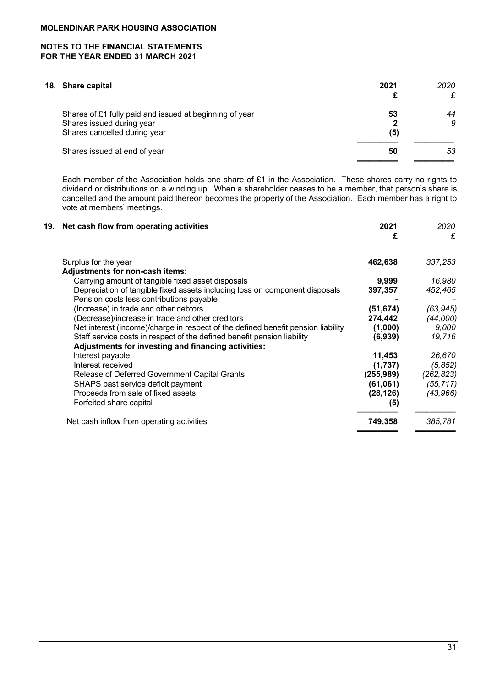| 18. Share capital                                       | 2021 | 2020<br>£ |
|---------------------------------------------------------|------|-----------|
| Shares of £1 fully paid and issued at beginning of year | 53   | 44        |
| Shares issued during year                               |      | 9         |
| Shares cancelled during year                            | (5)  |           |
| Shares issued at end of year                            | 50   | 53        |
|                                                         |      |           |

 Each member of the Association holds one share of £1 in the Association. These shares carry no rights to dividend or distributions on a winding up. When a shareholder ceases to be a member, that person's share is cancelled and the amount paid thereon becomes the property of the Association. Each member has a right to vote at members' meetings.

| 19. Net cash flow from operating activities                                      | 2021<br>£  | 2020<br>£  |
|----------------------------------------------------------------------------------|------------|------------|
| Surplus for the year                                                             | 462,638    | 337,253    |
| <b>Adjustments for non-cash items:</b>                                           |            |            |
| Carrying amount of tangible fixed asset disposals                                | 9,999      | 16,980     |
| Depreciation of tangible fixed assets including loss on component disposals      | 397,357    | 452,465    |
| Pension costs less contributions payable                                         |            |            |
| (Increase) in trade and other debtors                                            | (51, 674)  | (63, 945)  |
| (Decrease)/increase in trade and other creditors                                 | 274,442    | (44,000)   |
| Net interest (income)/charge in respect of the defined benefit pension liability | (1,000)    | 9,000      |
| Staff service costs in respect of the defined benefit pension liability          | (6,939)    | 19,716     |
| Adjustments for investing and financing activities:                              |            |            |
| Interest payable                                                                 | 11,453     | 26,670     |
| Interest received                                                                | (1,737)    | (5, 852)   |
| Release of Deferred Government Capital Grants                                    | (255, 989) | (262, 823) |
| SHAPS past service deficit payment                                               | (61,061)   | (55, 717)  |
| Proceeds from sale of fixed assets                                               | (28, 126)  | (43, 966)  |
| Forfeited share capital                                                          | (5)        |            |
| Net cash inflow from operating activities                                        | 749,358    | 385,781    |
|                                                                                  |            |            |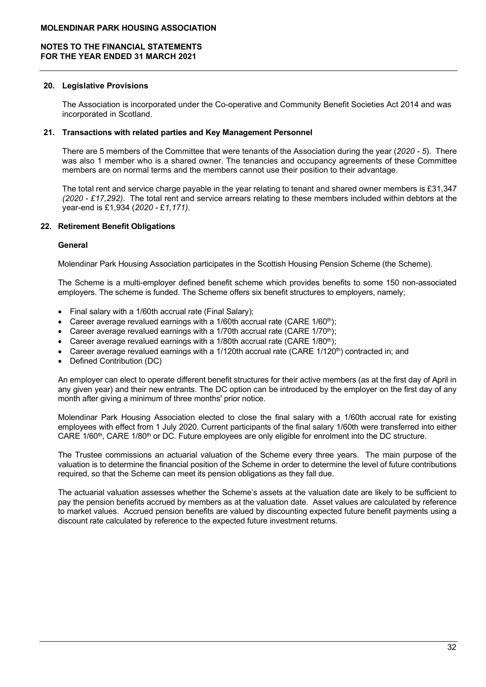## 20. Legislative Provisions

The Association is incorporated under the Co-operative and Community Benefit Societies Act 2014 and was incorporated in Scotland.

## 21. Transactions with related parties and Key Management Personnel

There are 5 members of the Committee that were tenants of the Association during the year (2020 - 5). There was also 1 member who is a shared owner. The tenancies and occupancy agreements of these Committee members are on normal terms and the members cannot use their position to their advantage.

The total rent and service charge payable in the year relating to tenant and shared owner members is £31,347  $(2020 - \text{\textsterling}17.292)$ . The total rent and service arrears relating to these members included within debtors at the year-end is £1,934 (2020 - £1,171).

## 22. Retirement Benefit Obligations

## **General**

Molendinar Park Housing Association participates in the Scottish Housing Pension Scheme (the Scheme).

The Scheme is a multi-employer defined benefit scheme which provides benefits to some 150 non-associated employers. The scheme is funded. The Scheme offers six benefit structures to employers, namely;

- Final salary with a 1/60th accrual rate (Final Salary):
- Career average revalued earnings with a 1/60th accrual rate (CARE 1/60<sup>th</sup>):
- Career average revalued earnings with a 1/70th accrual rate (CARE 1/70<sup>th</sup>);
- Career average revalued earnings with a 1/80th accrual rate (CARE  $1/80<sup>th</sup>$ );
- Career average revalued earnings with a  $1/120$ th accrual rate (CARE  $1/120$ <sup>th</sup>) contracted in; and
- Defined Contribution (DC)

An employer can elect to operate different benefit structures for their active members (as at the first day of April in any given year) and their new entrants. The DC option can be introduced by the employer on the first day of any month after giving a minimum of three months' prior notice.

Molendinar Park Housing Association elected to close the final salary with a 1/60th accrual rate for existing employees with effect from 1 July 2020. Current participants of the final salary 1/60th were transferred into either CARE  $1/60<sup>th</sup>$ , CARE  $1/80<sup>th</sup>$  or DC. Future employees are only eligible for enrolment into the DC structure.

The Trustee commissions an actuarial valuation of the Scheme every three years. The main purpose of the valuation is to determine the financial position of the Scheme in order to determine the level of future contributions required, so that the Scheme can meet its pension obligations as they fall due.

The actuarial valuation assesses whether the Scheme's assets at the valuation date are likely to be sufficient to pay the pension benefits accrued by members as at the valuation date. Asset values are calculated by reference to market values. Accrued pension benefits are valued by discounting expected future benefit payments using a discount rate calculated by reference to the expected future investment returns.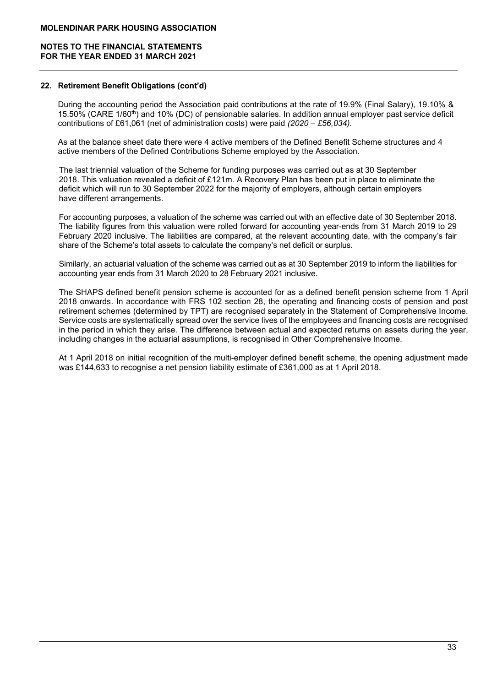## 22. Retirement Benefit Obligations (cont'd)

During the accounting period the Association paid contributions at the rate of 19.9% (Final Salary), 19.10% & 15.50% (CARE 1/60th) and 10% (DC) of pensionable salaries. In addition annual employer past service deficit contributions of £61,061 (net of administration costs) were paid  $(2020 - \text{\textsterling}56.034)$ .

As at the balance sheet date there were 4 active members of the Defined Benefit Scheme structures and 4 active members of the Defined Contributions Scheme employed by the Association.

The last triennial valuation of the Scheme for funding purposes was carried out as at 30 September 2018. This valuation revealed a deficit of £121m. A Recovery Plan has been put in place to eliminate the deficit which will run to 30 September 2022 for the majority of employers, although certain employers have different arrangements.

For accounting purposes, a valuation of the scheme was carried out with an effective date of 30 September 2018. The liability figures from this valuation were rolled forward for accounting year-ends from 31 March 2019 to 29 February 2020 inclusive. The liabilities are compared, at the relevant accounting date, with the company's fair share of the Scheme's total assets to calculate the company's net deficit or surplus.

Similarly, an actuarial valuation of the scheme was carried out as at 30 September 2019 to inform the liabilities for accounting year ends from 31 March 2020 to 28 February 2021 inclusive.

The SHAPS defined benefit pension scheme is accounted for as a defined benefit pension scheme from 1 April 2018 onwards. In accordance with FRS 102 section 28, the operating and financing costs of pension and post retirement schemes (determined by TPT) are recognised separately in the Statement of Comprehensive Income. Service costs are systematically spread over the service lives of the employees and financing costs are recognised in the period in which they arise. The difference between actual and expected returns on assets during the year, including changes in the actuarial assumptions, is recognised in Other Comprehensive Income.

At 1 April 2018 on initial recognition of the multi-employer defined benefit scheme, the opening adjustment made was £144,633 to recognise a net pension liability estimate of £361,000 as at 1 April 2018.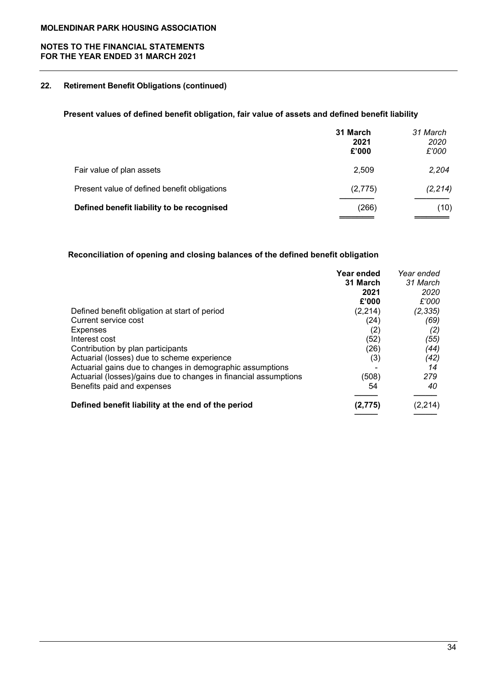# NOTES TO THE FINANCIAL STATEMENTS FOR THE YEAR ENDED 31 MARCH 2021

# 22. Retirement Benefit Obligations (continued)

# Present values of defined benefit obligation, fair value of assets and defined benefit liability

|                                              | 31 March<br>2021<br>£'000 | 31 March<br>2020<br>£'000 |
|----------------------------------------------|---------------------------|---------------------------|
| Fair value of plan assets                    | 2,509                     | 2,204                     |
| Present value of defined benefit obligations | (2,775)                   | (2, 214)                  |
| Defined benefit liability to be recognised   | (266)                     | (10)                      |

# Reconciliation of opening and closing balances of the defined benefit obligation

|                                                                  | Year ended | Year ended |
|------------------------------------------------------------------|------------|------------|
|                                                                  | 31 March   | 31 March   |
|                                                                  | 2021       | 2020       |
|                                                                  | £'000      | £'000      |
| Defined benefit obligation at start of period                    | (2,214)    | (2, 335)   |
| Current service cost                                             | (24)       | (69)       |
| <b>Expenses</b>                                                  | (2)        | (2)        |
| Interest cost                                                    | (52)       | (55)       |
| Contribution by plan participants                                | (26)       | (44)       |
| Actuarial (losses) due to scheme experience                      | (3)        | (42)       |
| Actuarial gains due to changes in demographic assumptions        |            | 14         |
| Actuarial (losses)/gains due to changes in financial assumptions | (508)      | 279        |
| Benefits paid and expenses                                       | 54         | 40         |
| Defined benefit liability at the end of the period               | (2,775)    | (2, 214)   |
|                                                                  |            |            |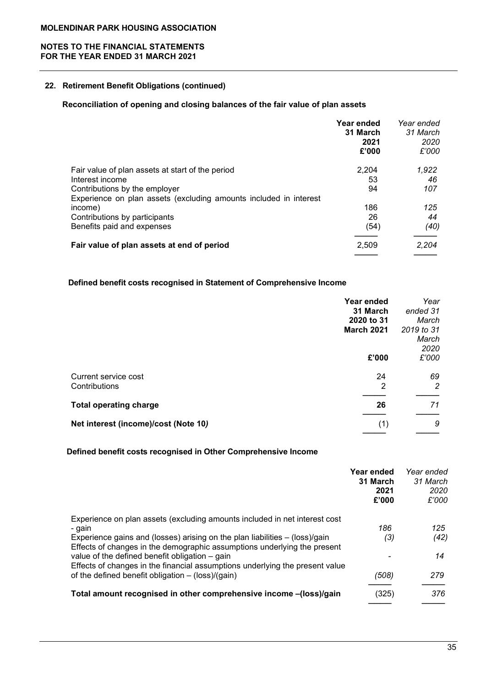# 22. Retirement Benefit Obligations (continued)

# Reconciliation of opening and closing balances of the fair value of plan assets

| Year ended<br>31 March<br>2021<br>£'000 | Year ended<br>31 March<br>2020<br>£'000 |
|-----------------------------------------|-----------------------------------------|
| 2,204                                   | 1,922                                   |
| 53                                      | 46                                      |
| 94                                      | 107                                     |
|                                         |                                         |
| 186                                     | 125                                     |
| 26                                      | 44                                      |
| (54)                                    | (40)                                    |
| 2,509                                   | 2,204                                   |
|                                         |                                         |

# Defined benefit costs recognised in Statement of Comprehensive Income

|                                      | Year ended<br>31 March | Year<br>ended 31            |
|--------------------------------------|------------------------|-----------------------------|
|                                      | 2020 to 31             | March                       |
|                                      | <b>March 2021</b>      | 2019 to 31<br>March<br>2020 |
|                                      | £'000                  | £'000                       |
| Current service cost                 | 24                     | 69                          |
| Contributions                        | 2                      | 2                           |
| <b>Total operating charge</b>        | 26                     | 71                          |
| Net interest (income)/cost (Note 10) | (1)                    | 9                           |

# Defined benefit costs recognised in Other Comprehensive Income

|                                                                               | Year ended<br>31 March<br>2021<br>£'000 | Year ended<br>31 March<br>2020<br>£'000 |
|-------------------------------------------------------------------------------|-----------------------------------------|-----------------------------------------|
| Experience on plan assets (excluding amounts included in net interest cost    |                                         |                                         |
| - gain                                                                        | 186                                     | 125                                     |
| Experience gains and (losses) arising on the plan liabilities $-$ (loss)/gain | (3)                                     | (42)                                    |
| Effects of changes in the demographic assumptions underlying the present      |                                         |                                         |
| value of the defined benefit obligation – gain                                |                                         | 14                                      |
| Effects of changes in the financial assumptions underlying the present value  |                                         |                                         |
| of the defined benefit obligation $-$ (loss)/(gain)                           | (508)                                   | 279                                     |
|                                                                               |                                         |                                         |
| Total amount recognised in other comprehensive income - (loss)/gain           | (325)                                   | 376                                     |
|                                                                               |                                         |                                         |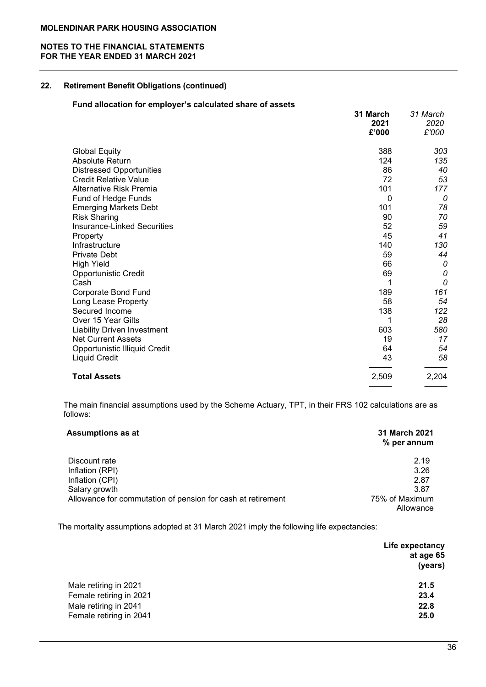## NOTES TO THE FINANCIAL STATEMENTS FOR THE YEAR ENDED 31 MARCH 2021

# 22. Retirement Benefit Obligations (continued)

# Fund allocation for employer's calculated share of assets

|                                    | 31 March<br>2021<br>£'000 | 31 March<br>2020<br>£'000 |
|------------------------------------|---------------------------|---------------------------|
| <b>Global Equity</b>               | 388                       | 303                       |
| Absolute Return                    | 124                       | 135                       |
| <b>Distressed Opportunities</b>    | 86                        | 40                        |
| <b>Credit Relative Value</b>       | 72                        | 53                        |
| Alternative Risk Premia            | 101                       | 177                       |
| Fund of Hedge Funds                | $\mathbf 0$               | 0                         |
| <b>Emerging Markets Debt</b>       | 101                       | 78                        |
| <b>Risk Sharing</b>                | 90                        | 70                        |
| <b>Insurance-Linked Securities</b> | 52                        | 59                        |
| Property                           | 45                        | 41                        |
| Infrastructure                     | 140                       | 130                       |
| <b>Private Debt</b>                | 59                        | 44                        |
| <b>High Yield</b>                  | 66                        | 0                         |
| Opportunistic Credit               | 69                        | 0                         |
| Cash                               | 1                         | 0                         |
| <b>Corporate Bond Fund</b>         | 189                       | 161                       |
| Long Lease Property                | 58                        | 54                        |
| Secured Income                     | 138                       | 122                       |
| Over 15 Year Gilts                 | 1                         | 28                        |
| <b>Liability Driven Investment</b> | 603                       | 580                       |
| <b>Net Current Assets</b>          | 19                        | 17                        |
| Opportunistic Illiquid Credit      | 64                        | 54                        |
| <b>Liquid Credit</b>               | 43                        | 58                        |
| <b>Total Assets</b>                | 2,509                     | 2,204                     |
|                                    |                           |                           |

 The main financial assumptions used by the Scheme Actuary, TPT, in their FRS 102 calculations are as follows:

| <b>Assumptions as at</b>                                    | <b>31 March 2021</b><br>% per annum |
|-------------------------------------------------------------|-------------------------------------|
| Discount rate                                               | 2.19                                |
| Inflation (RPI)                                             | 3.26                                |
| Inflation (CPI)                                             | 2.87                                |
| Salary growth                                               | 3.87                                |
| Allowance for commutation of pension for cash at retirement | 75% of Maximum                      |
|                                                             | Allowance                           |

The mortality assumptions adopted at 31 March 2021 imply the following life expectancies:

|                         | Life expectancy |
|-------------------------|-----------------|
|                         | at age 65       |
|                         | (years)         |
| Male retiring in 2021   | 21.5            |
| Female retiring in 2021 | 23.4            |
| Male retiring in 2041   | 22.8            |
| Female retiring in 2041 | 25.0            |